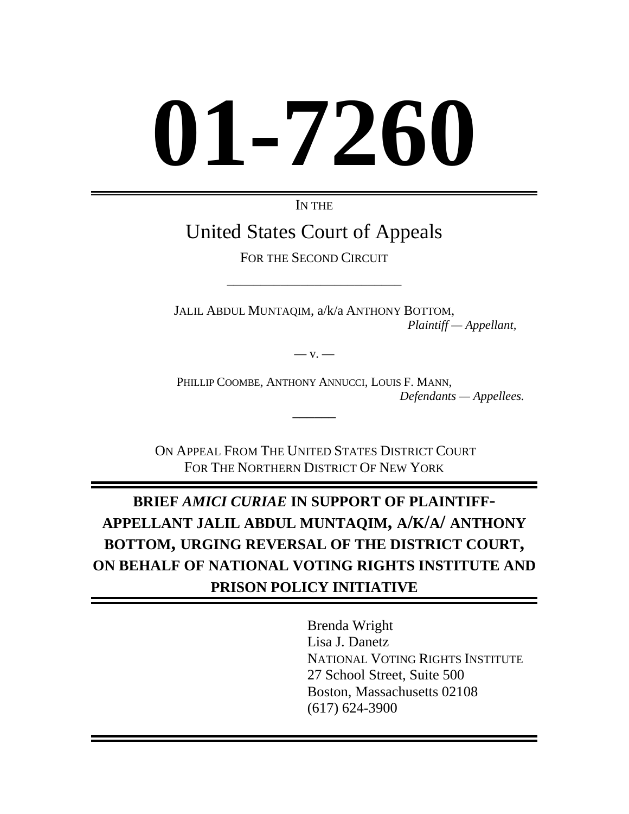# **01-7260**

IN THE

# United States Court of Appeals

FOR THE SECOND CIRCUIT

\_\_\_\_\_\_\_\_\_\_\_\_\_\_\_\_\_\_\_\_\_\_\_\_\_\_

JALIL ABDUL MUNTAQIM, a/k/a ANTHONY BOTTOM, *Plaintiff — Appellant,* 

 $-$  v.  $-$ 

PHILLIP COOMBE, ANTHONY ANNUCCI, LOUIS F. MANN, *Defendants — Appellees.*

ON APPEAL FROM THE UNITED STATES DISTRICT COURT FOR THE NORTHERN DISTRICT OF NEW YORK

*\_\_\_\_\_\_* 

# **BRIEF** *AMICI CURIAE* **IN SUPPORT OF PLAINTIFF-APPELLANT JALIL ABDUL MUNTAQIM, A/K/A/ ANTHONY BOTTOM, URGING REVERSAL OF THE DISTRICT COURT, ON BEHALF OF NATIONAL VOTING RIGHTS INSTITUTE AND PRISON POLICY INITIATIVE**

Brenda Wright Lisa J. Danetz NATIONAL VOTING RIGHTS INSTITUTE 27 School Street, Suite 500 Boston, Massachusetts 02108 (617) 624-3900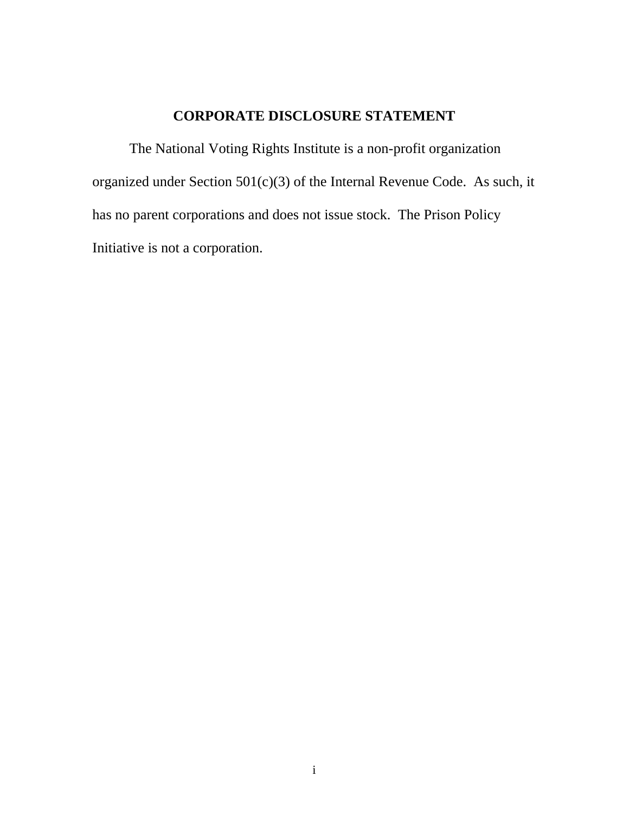# **CORPORATE DISCLOSURE STATEMENT**

The National Voting Rights Institute is a non-profit organization organized under Section 501(c)(3) of the Internal Revenue Code. As such, it has no parent corporations and does not issue stock. The Prison Policy Initiative is not a corporation.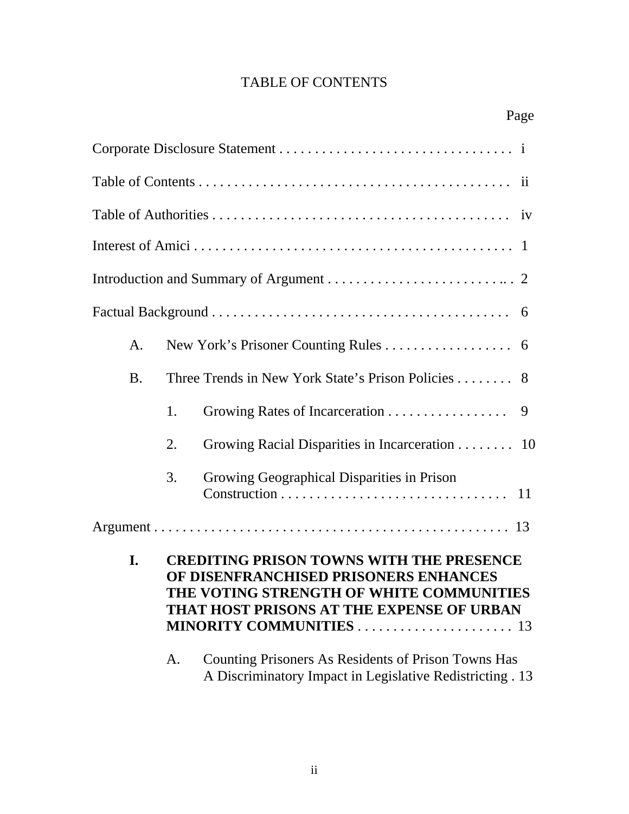# TABLE OF CONTENTS

| A.                                                                                                                                                                                                                        |                                                                                                                        |                                                |  |  |  |  |  |  |
|---------------------------------------------------------------------------------------------------------------------------------------------------------------------------------------------------------------------------|------------------------------------------------------------------------------------------------------------------------|------------------------------------------------|--|--|--|--|--|--|
| <b>B.</b>                                                                                                                                                                                                                 | Three Trends in New York State's Prison Policies 8                                                                     |                                                |  |  |  |  |  |  |
|                                                                                                                                                                                                                           | 1.                                                                                                                     | 9                                              |  |  |  |  |  |  |
|                                                                                                                                                                                                                           | 2.                                                                                                                     | Growing Racial Disparities in Incarceration 10 |  |  |  |  |  |  |
|                                                                                                                                                                                                                           | 3.                                                                                                                     | Growing Geographical Disparities in Prison     |  |  |  |  |  |  |
|                                                                                                                                                                                                                           |                                                                                                                        |                                                |  |  |  |  |  |  |
| <b>CREDITING PRISON TOWNS WITH THE PRESENCE</b><br>I.<br>OF DISENFRANCHISED PRISONERS ENHANCES<br>THE VOTING STRENGTH OF WHITE COMMUNITIES<br>THAT HOST PRISONS AT THE EXPENSE OF URBAN<br><b>MINORITY COMMUNITIES</b> 13 |                                                                                                                        |                                                |  |  |  |  |  |  |
|                                                                                                                                                                                                                           | Counting Prisoners As Residents of Prison Towns Has<br>A.<br>A Discriminatory Impact in Legislative Redistricting . 13 |                                                |  |  |  |  |  |  |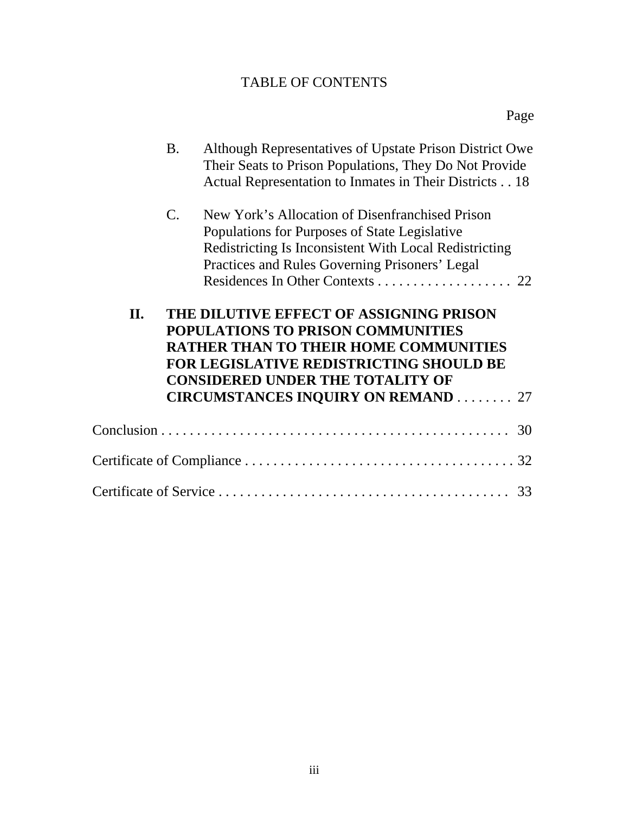# TABLE OF CONTENTS

|     | <b>B.</b>                                                                                                                                                                                                                 | Although Representatives of Upstate Prison District Owe<br>Their Seats to Prison Populations, They Do Not Provide<br>Actual Representation to Inmates in Their Districts 18                                  |  |  |  |
|-----|---------------------------------------------------------------------------------------------------------------------------------------------------------------------------------------------------------------------------|--------------------------------------------------------------------------------------------------------------------------------------------------------------------------------------------------------------|--|--|--|
|     | $\mathcal{C}$ .                                                                                                                                                                                                           | New York's Allocation of Disenfranchised Prison<br>Populations for Purposes of State Legislative<br>Redistricting Is Inconsistent With Local Redistricting<br>Practices and Rules Governing Prisoners' Legal |  |  |  |
| II. | THE DILUTIVE EFFECT OF ASSIGNING PRISON<br>POPULATIONS TO PRISON COMMUNITIES<br><b>RATHER THAN TO THEIR HOME COMMUNITIES</b><br><b>FOR LEGISLATIVE REDISTRICTING SHOULD BE</b><br><b>CONSIDERED UNDER THE TOTALITY OF</b> |                                                                                                                                                                                                              |  |  |  |
|     |                                                                                                                                                                                                                           | <b>CIRCUMSTANCES INQUIRY ON REMAND 27</b>                                                                                                                                                                    |  |  |  |
|     |                                                                                                                                                                                                                           |                                                                                                                                                                                                              |  |  |  |
|     |                                                                                                                                                                                                                           |                                                                                                                                                                                                              |  |  |  |
|     |                                                                                                                                                                                                                           |                                                                                                                                                                                                              |  |  |  |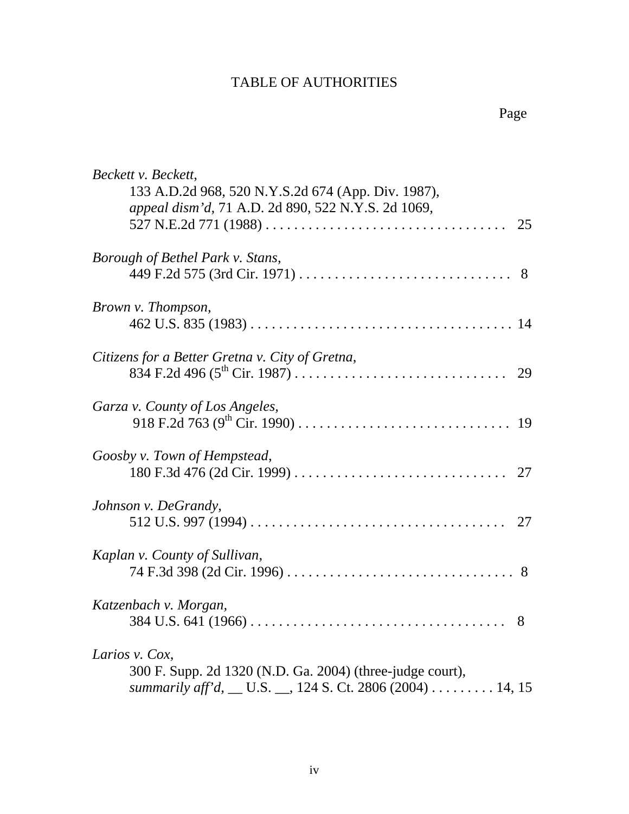| Beckett v. Beckett,                                        |
|------------------------------------------------------------|
| 133 A.D.2d 968, 520 N.Y.S.2d 674 (App. Div. 1987),         |
| appeal dism'd, 71 A.D. 2d 890, 522 N.Y.S. 2d 1069,         |
| 25                                                         |
| Borough of Bethel Park v. Stans,                           |
|                                                            |
| Brown v. Thompson,                                         |
|                                                            |
| Citizens for a Better Gretna v. City of Gretna,            |
|                                                            |
| Garza v. County of Los Angeles,                            |
|                                                            |
| Goosby v. Town of Hempstead,                               |
|                                                            |
| Johnson v. DeGrandy,                                       |
|                                                            |
| Kaplan v. County of Sullivan,                              |
|                                                            |
| Katzenbach v. Morgan,                                      |
|                                                            |
| Larios v. Cox,                                             |
| 300 F. Supp. 2d 1320 (N.D. Ga. 2004) (three-judge court),  |
| summarily aff'd, __ U.S. __, 124 S. Ct. 2806 (2004) 14, 15 |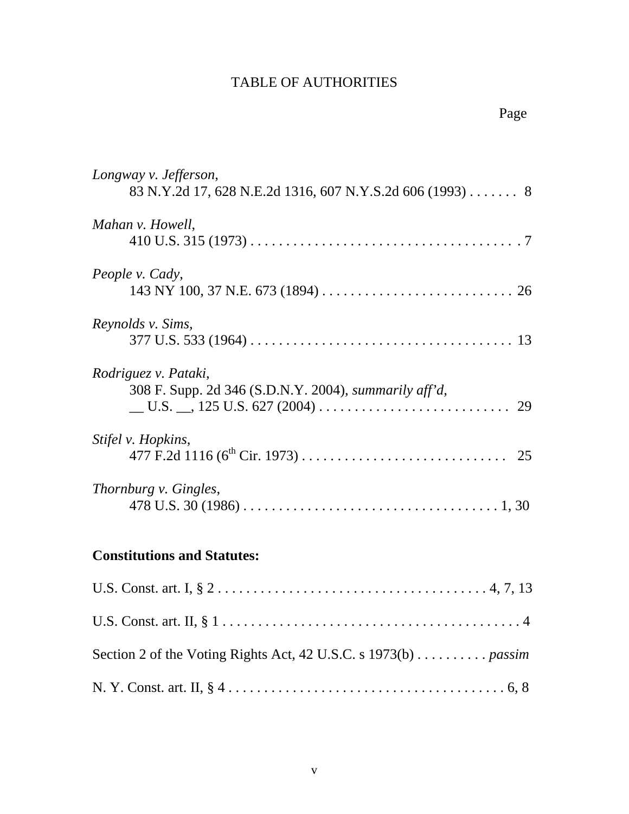| Longway v. Jefferson,<br>83 N.Y.2d 17, 628 N.E.2d 1316, 607 N.Y.S.2d 606 (1993) 8           |
|---------------------------------------------------------------------------------------------|
| Mahan v. Howell,                                                                            |
| People v. Cady,                                                                             |
| Reynolds v. Sims,                                                                           |
| Rodriguez v. Pataki,<br>308 F. Supp. 2d 346 (S.D.N.Y. 2004), <i>summarily aff'd</i> ,<br>29 |
| <i>Stifel v. Hopkins,</i>                                                                   |
| Thornburg v. Gingles,                                                                       |

# **Constitutions and Statutes:**

| Section 2 of the Voting Rights Act, 42 U.S.C. s $1973(b)$ <i>passim</i> |
|-------------------------------------------------------------------------|
|                                                                         |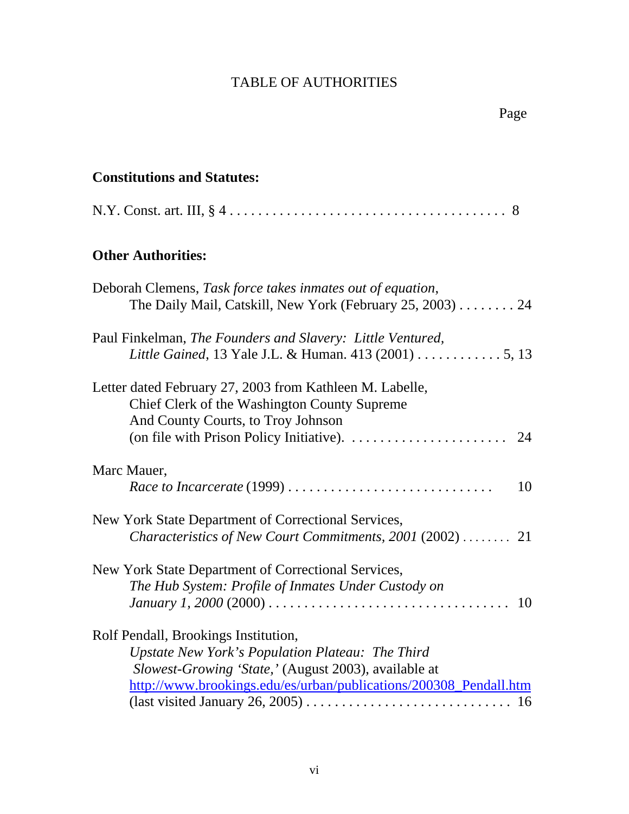# **Constitutions and Statutes:**

|--|--|--|

# **Other Authorities:**

| Deborah Clemens, Task force takes inmates out of equation,<br>The Daily Mail, Catskill, New York (February 25, 2003) $\dots \dots 24$          |
|------------------------------------------------------------------------------------------------------------------------------------------------|
| Paul Finkelman, The Founders and Slavery: Little Ventured,<br>Little Gained, 13 Yale J.L. & Human. 413 (2001) 5, 13                            |
| Letter dated February 27, 2003 from Kathleen M. Labelle,<br>Chief Clerk of the Washington County Supreme<br>And County Courts, to Troy Johnson |
|                                                                                                                                                |
| Marc Mauer,<br>Race to Incarcerate (1999)<br>10                                                                                                |
| New York State Department of Correctional Services,<br><i>Characteristics of New Court Commitments, 2001</i> (2002)  21                        |
| New York State Department of Correctional Services,                                                                                            |
| The Hub System: Profile of Inmates Under Custody on                                                                                            |
| Rolf Pendall, Brookings Institution,                                                                                                           |
| Upstate New York's Population Plateau: The Third                                                                                               |
| Slowest-Growing 'State,' (August 2003), available at                                                                                           |
| http://www.brookings.edu/es/urban/publications/200308_Pendall.htm                                                                              |
|                                                                                                                                                |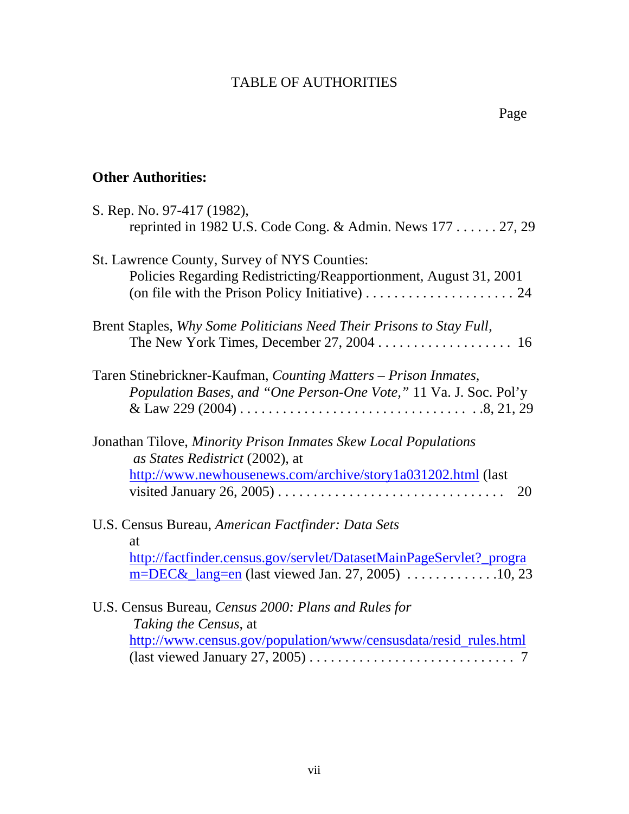# **Other Authorities:**

| S. Rep. No. 97-417 (1982),<br>reprinted in 1982 U.S. Code Cong. & Admin. News $177$ $27, 29$                                                                                                                          |
|-----------------------------------------------------------------------------------------------------------------------------------------------------------------------------------------------------------------------|
| St. Lawrence County, Survey of NYS Counties:<br>Policies Regarding Redistricting/Reapportionment, August 31, 2001<br>(on file with the Prison Policy Initiative) $\dots \dots \dots \dots \dots \dots \dots \dots 24$ |
| Brent Staples, Why Some Politicians Need Their Prisons to Stay Full,                                                                                                                                                  |
| Taren Stinebrickner-Kaufman, Counting Matters - Prison Inmates,<br>Population Bases, and "One Person-One Vote," 11 Va. J. Soc. Pol'y                                                                                  |
| Jonathan Tilove, Minority Prison Inmates Skew Local Populations<br>as States Redistrict (2002), at<br>http://www.newhousenews.com/archive/story1a031202.html (last                                                    |
| U.S. Census Bureau, American Factfinder: Data Sets<br>at<br>http://factfinder.census.gov/servlet/DatasetMainPageServlet?_progra                                                                                       |
| U.S. Census Bureau, Census 2000: Plans and Rules for<br>Taking the Census, at<br>http://www.census.gov/population/www/censusdata/resid_rules.html<br>7                                                                |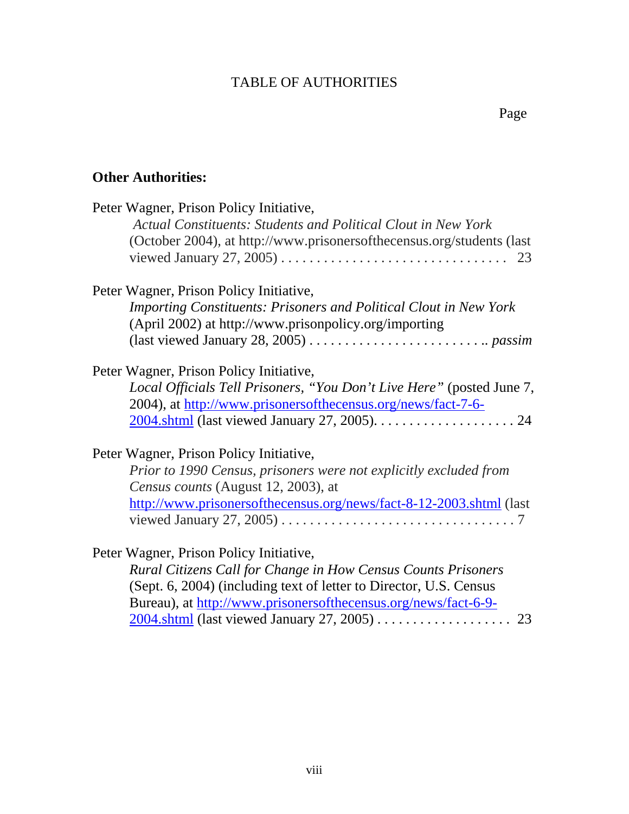#### Page **Page**

# **Other Authorities:**

| Peter Wagner, Prison Policy Initiative,<br><b>Actual Constituents: Students and Political Clout in New York</b>                       |  |
|---------------------------------------------------------------------------------------------------------------------------------------|--|
| (October 2004), at http://www.prisonersofthecensus.org/students (last)                                                                |  |
| Peter Wagner, Prison Policy Initiative,                                                                                               |  |
| <b>Importing Constituents: Prisoners and Political Clout in New York</b><br>(April 2002) at http://www.prisonpolicy.org/importing     |  |
| (last viewed January 28, 2005) $\dots \dots \dots \dots \dots \dots \dots \dots \dots$                                                |  |
| Peter Wagner, Prison Policy Initiative,                                                                                               |  |
| Local Officials Tell Prisoners, "You Don't Live Here" (posted June 7,<br>2004), at http://www.prisonersofthecensus.org/news/fact-7-6- |  |
|                                                                                                                                       |  |
| Peter Wagner, Prison Policy Initiative,                                                                                               |  |
| Prior to 1990 Census, prisoners were not explicitly excluded from                                                                     |  |
| Census counts (August 12, 2003), at                                                                                                   |  |
| http://www.prisonersofthecensus.org/news/fact-8-12-2003.shtml (last                                                                   |  |
| viewed January 27, 2005) $\dots \dots \dots \dots \dots \dots \dots \dots \dots \dots \dots \dots$                                    |  |
| Peter Wagner, Prison Policy Initiative,                                                                                               |  |
| Rural Citizens Call for Change in How Census Counts Prisoners                                                                         |  |
| (Sept. 6, 2004) (including text of letter to Director, U.S. Census                                                                    |  |
| Bureau), at http://www.prisonersofthecensus.org/news/fact-6-9-                                                                        |  |

|  | Durcau), at $\ln(p)/\sqrt{W}$ will be a solution of the consustor $g/\ln w$ s/ $1aC$ ( $0^{\circ}$ ) $^{-1}$ |  |
|--|--------------------------------------------------------------------------------------------------------------|--|
|  |                                                                                                              |  |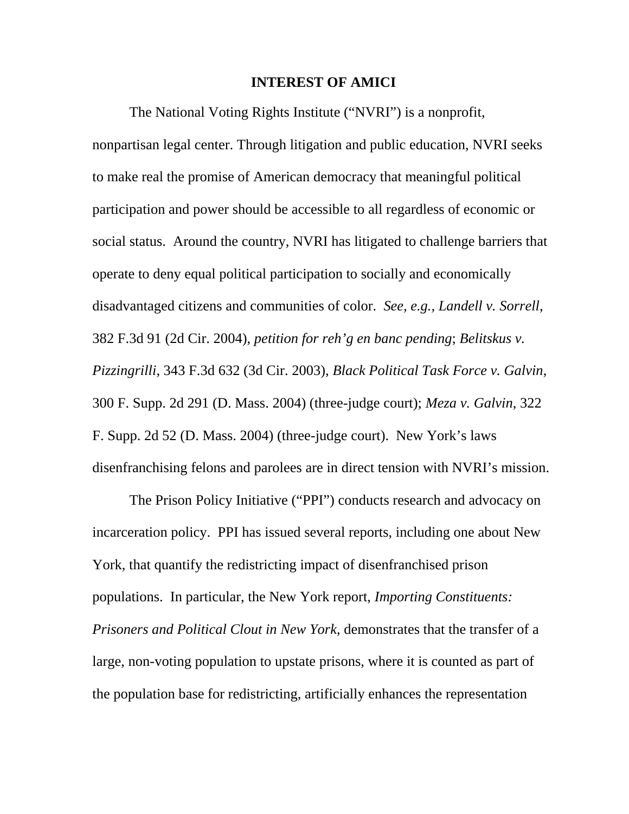#### **INTEREST OF AMICI**

The National Voting Rights Institute ("NVRI") is a nonprofit, nonpartisan legal center. Through litigation and public education, NVRI seeks to make real the promise of American democracy that meaningful political participation and power should be accessible to all regardless of economic or social status. Around the country, NVRI has litigated to challenge barriers that operate to deny equal political participation to socially and economically disadvantaged citizens and communities of color. *See, e.g., Landell v. Sorrell*, 382 F.3d 91 (2d Cir. 2004), *petition for reh'g en banc pending*; *Belitskus v. Pizzingrilli*, 343 F.3d 632 (3d Cir. 2003), *Black Political Task Force v. Galvin*, 300 F. Supp. 2d 291 (D. Mass. 2004) (three-judge court); *Meza v. Galvin*, 322 F. Supp. 2d 52 (D. Mass. 2004) (three-judge court). New York's laws disenfranchising felons and parolees are in direct tension with NVRI's mission.

The Prison Policy Initiative ("PPI") conducts research and advocacy on incarceration policy. PPI has issued several reports, including one about New York, that quantify the redistricting impact of disenfranchised prison populations. In particular, the New York report, *Importing Constituents: Prisoners and Political Clout in New York*, demonstrates that the transfer of a large, non-voting population to upstate prisons, where it is counted as part of the population base for redistricting, artificially enhances the representation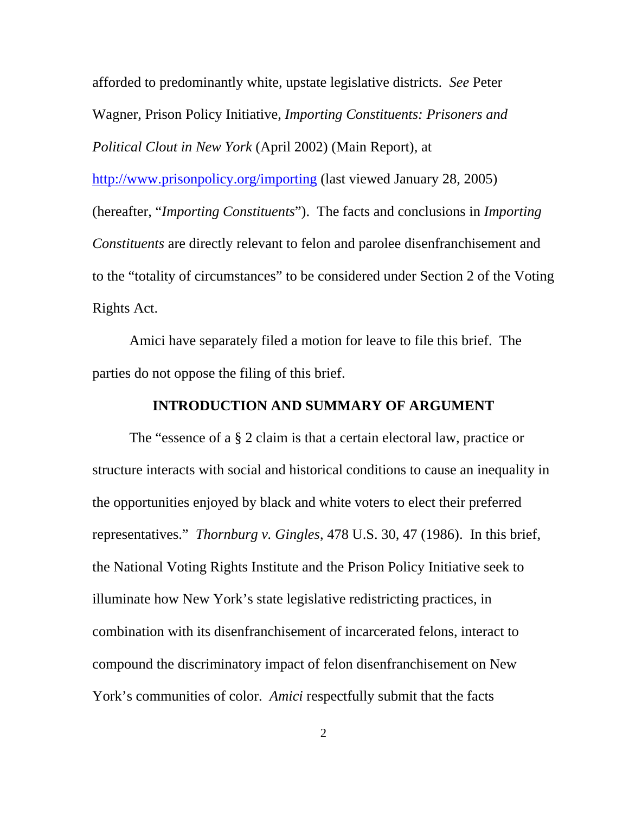afforded to predominantly white, upstate legislative districts. *See* Peter Wagner, Prison Policy Initiative, *Importing Constituents: Prisoners and Political Clout in New York* (April 2002) (Main Report), at <http://www.prisonpolicy.org/importing>(last viewed January 28, 2005) (hereafter, "*Importing Constituents*"). The facts and conclusions in *Importing Constituents* are directly relevant to felon and parolee disenfranchisement and to the "totality of circumstances" to be considered under Section 2 of the Voting Rights Act.

Amici have separately filed a motion for leave to file this brief. The parties do not oppose the filing of this brief.

#### **INTRODUCTION AND SUMMARY OF ARGUMENT**

The "essence of a § 2 claim is that a certain electoral law, practice or structure interacts with social and historical conditions to cause an inequality in the opportunities enjoyed by black and white voters to elect their preferred representatives." *Thornburg v. Gingles*, 478 U.S. 30, 47 (1986). In this brief, the National Voting Rights Institute and the Prison Policy Initiative seek to illuminate how New York's state legislative redistricting practices, in combination with its disenfranchisement of incarcerated felons, interact to compound the discriminatory impact of felon disenfranchisement on New York's communities of color. *Amici* respectfully submit that the facts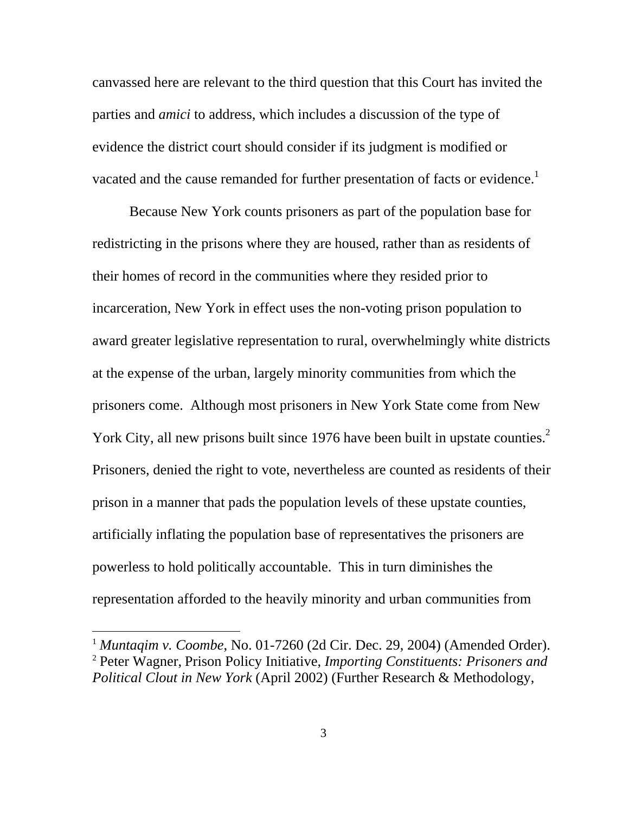<span id="page-11-1"></span>canvassed here are relevant to the third question that this Court has invited the parties and *amici* to address, which includes a discussion of the type of evidence the district court should consider if its judgment is modified or vacated and the cause remanded for further presentation of facts or evidence.<sup>[1](#page-11-0)</sup>

Because New York counts prisoners as part of the population base for redistricting in the prisons where they are housed, rather than as residents of their homes of record in the communities where they resided prior to incarceration, New York in effect uses the non-voting prison population to award greater legislative representation to rural, overwhelmingly white districts at the expense of the urban, largely minority communities from which the prisoners come. Although most prisoners in New York State come from New York City, all new prisons built since 1976 have been built in upstate counties.<sup>[2](#page-11-1)</sup> Prisoners, denied the right to vote, nevertheless are counted as residents of their prison in a manner that pads the population levels of these upstate counties, artificially inflating the population base of representatives the prisoners are powerless to hold politically accountable. This in turn diminishes the representation afforded to the heavily minority and urban communities from

<span id="page-11-0"></span><sup>1</sup> *Muntaqim v. Coombe*, No. 01-7260 (2d Cir. Dec. 29, 2004) (Amended Order). <sup>2</sup> Peter Wagner, Prison Policy Initiative, *Importing Constituents: Prisoners and Political Clout in New York* (April 2002) (Further Research & Methodology,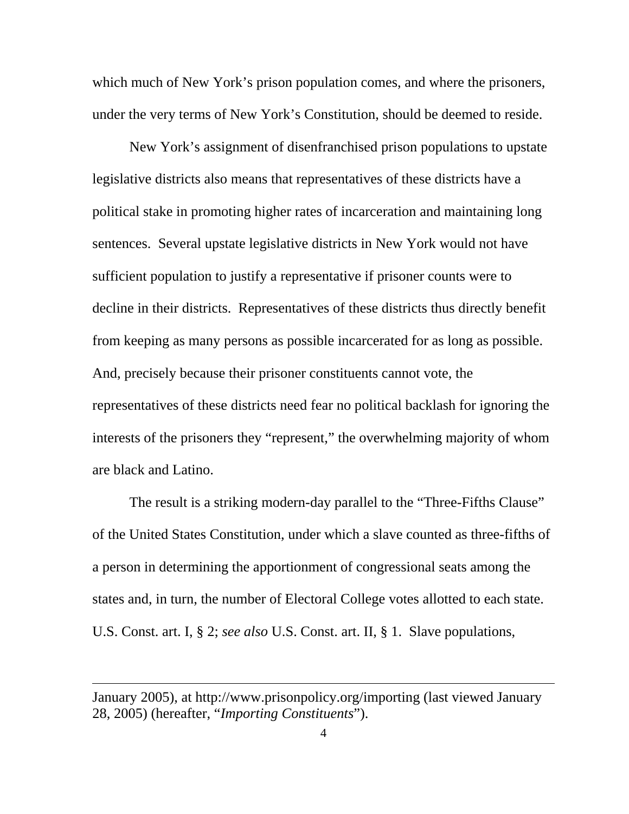which much of New York's prison population comes, and where the prisoners, under the very terms of New York's Constitution, should be deemed to reside.

New York's assignment of disenfranchised prison populations to upstate legislative districts also means that representatives of these districts have a political stake in promoting higher rates of incarceration and maintaining long sentences. Several upstate legislative districts in New York would not have sufficient population to justify a representative if prisoner counts were to decline in their districts. Representatives of these districts thus directly benefit from keeping as many persons as possible incarcerated for as long as possible. And, precisely because their prisoner constituents cannot vote, the representatives of these districts need fear no political backlash for ignoring the interests of the prisoners they "represent," the overwhelming majority of whom are black and Latino.

The result is a striking modern-day parallel to the "Three-Fifths Clause" of the United States Constitution, under which a slave counted as three-fifths of a person in determining the apportionment of congressional seats among the states and, in turn, the number of Electoral College votes allotted to each state. U.S. Const. art. I, § 2; *see also* U.S. Const. art. II, § 1. Slave populations,

January 2005), at http://www.prisonpolicy.org/importing (last viewed January 28, 2005) (hereafter, "*Importing Constituents*").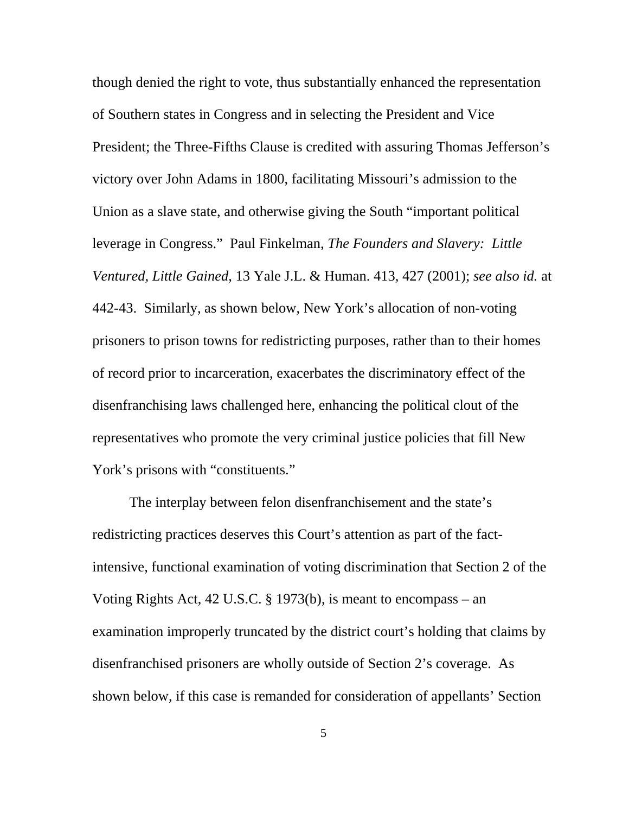though denied the right to vote, thus substantially enhanced the representation of Southern states in Congress and in selecting the President and Vice President; the Three-Fifths Clause is credited with assuring Thomas Jefferson's victory over John Adams in 1800, facilitating Missouri's admission to the Union as a slave state, and otherwise giving the South "important political leverage in Congress." Paul Finkelman, *The Founders and Slavery: Little Ventured, Little Gained*, 13 Yale J.L. & Human. 413, 427 (2001); *see also id.* at 442-43. Similarly, as shown below, New York's allocation of non-voting prisoners to prison towns for redistricting purposes, rather than to their homes of record prior to incarceration, exacerbates the discriminatory effect of the disenfranchising laws challenged here, enhancing the political clout of the representatives who promote the very criminal justice policies that fill New York's prisons with "constituents."

The interplay between felon disenfranchisement and the state's redistricting practices deserves this Court's attention as part of the factintensive, functional examination of voting discrimination that Section 2 of the Voting Rights Act, 42 U.S.C. § 1973(b), is meant to encompass – an examination improperly truncated by the district court's holding that claims by disenfranchised prisoners are wholly outside of Section 2's coverage. As shown below, if this case is remanded for consideration of appellants' Section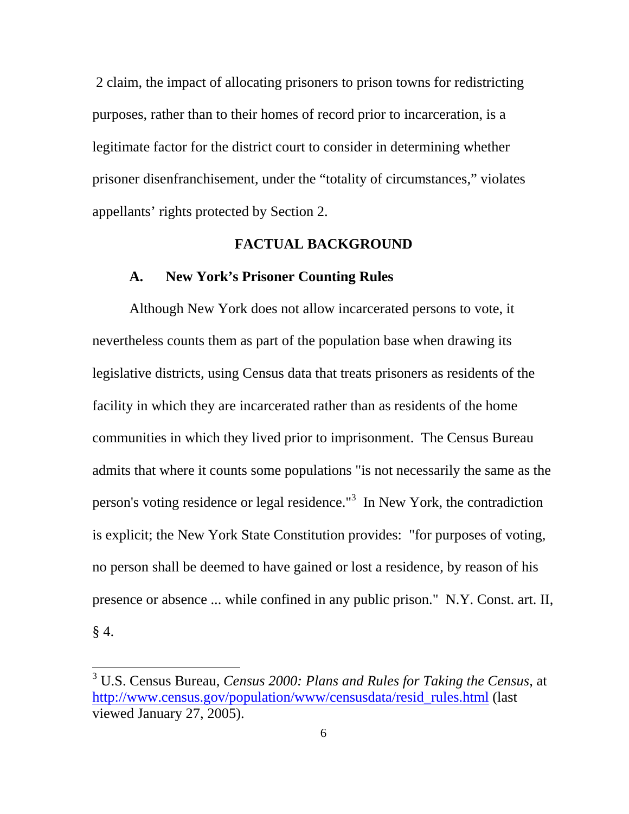2 claim, the impact of allocating prisoners to prison towns for redistricting purposes, rather than to their homes of record prior to incarceration, is a legitimate factor for the district court to consider in determining whether prisoner disenfranchisement, under the "totality of circumstances," violates appellants' rights protected by Section 2.

#### **FACTUAL BACKGROUND**

## **A. New York's Prisoner Counting Rules**

Although New York does not allow incarcerated persons to vote, it nevertheless counts them as part of the population base when drawing its legislative districts, using Census data that treats prisoners as residents of the facility in which they are incarcerated rather than as residents of the home communities in which they lived prior to imprisonment. The Census Bureau admits that where it counts some populations "is not necessarily the same as the person's voting residence or legal residence."<sup>3</sup> In New York, the contradiction is explicit; the New York State Constitution provides: "for purposes of voting, no person shall be deemed to have gained or lost a residence, by reason of his presence or absence ... while confined in any public prison." N.Y. Const. art. II,  $§$  4.

<span id="page-14-0"></span><sup>3</sup> U.S. Census Bureau, *Census 2000: Plans and Rules for Taking the Census*, at [http://www.census.gov/population/www/censusdata/resid\\_rules.html](http://www.census.gov/population/www/censusdata/resid_rules.html) (last viewed January 27, 2005).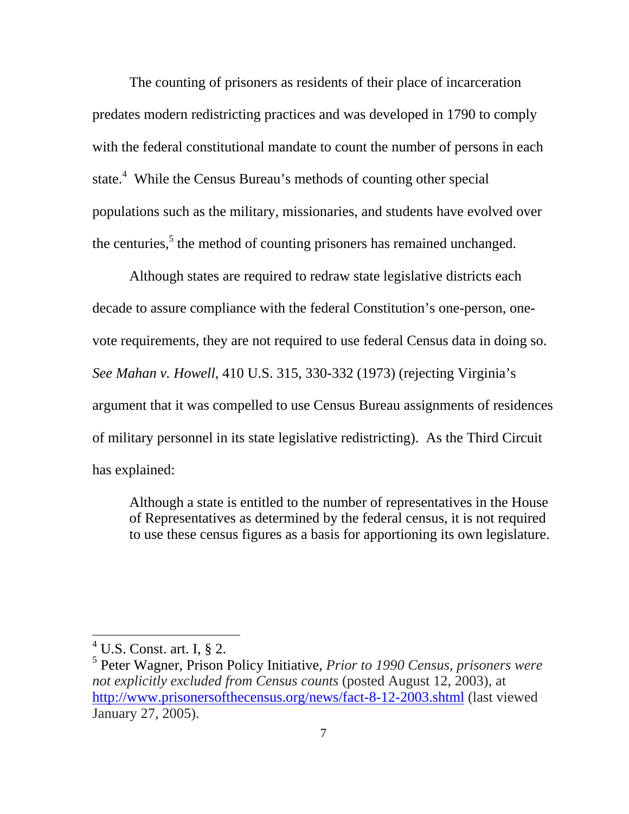The counting of prisoners as residents of their place of incarceration predates modern redistricting practices and was developed in 1790 to comply with the federal constitutional mandate to count the number of persons in each state.<sup>[4](#page-15-0)</sup> While the Census Bureau's methods of counting other special populations such as the military, missionaries, and students have evolved over the centuries,<sup>[5](#page-15-1)</sup> the method of counting prisoners has remained unchanged.

Although states are required to redraw state legislative districts each decade to assure compliance with the federal Constitution's one-person, onevote requirements, they are not required to use federal Census data in doing so. *See Mahan v. Howell*, 410 U.S. 315, 330-332 (1973) (rejecting Virginia's argument that it was compelled to use Census Bureau assignments of residences of military personnel in its state legislative redistricting). As the Third Circuit has explained:

Although a state is entitled to the number of representatives in the House of Representatives as determined by the federal census, it is not required to use these census figures as a basis for apportioning its own legislature.

<span id="page-15-0"></span> $4$  U.S. Const. art. I,  $\S$  2.

<span id="page-15-1"></span><sup>5</sup> Peter Wagner, Prison Policy Initiative, *Prior to 1990 Census, prisoners were not explicitly excluded from Census counts* (posted August 12, 2003), at <http://www.prisonersofthecensus.org/news/fact-8-12-2003.shtml> (last viewed January 27, 2005).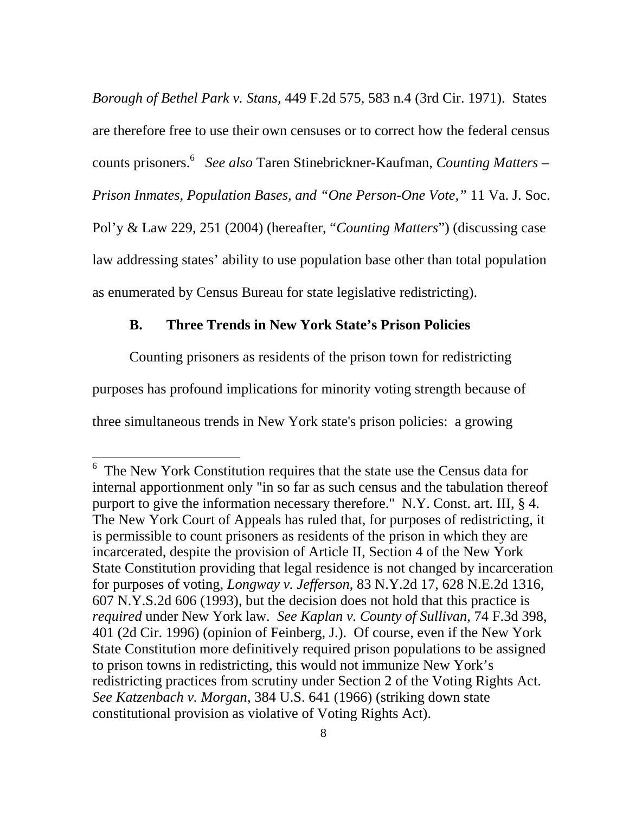*Borough of Bethel Park v. Stans*, 449 F.2d 575, 583 n.4 (3rd Cir. 1971). States are therefore free to use their own censuses or to correct how the federal census counts prisoners.[6](#page-16-0) *See also* Taren Stinebrickner-Kaufman, *Counting Matters – Prison Inmates, Population Bases, and "One Person-One Vote,"* 11 Va. J. Soc. Pol'y & Law 229, 251 (2004) (hereafter, "*Counting Matters*") (discussing case law addressing states' ability to use population base other than total population as enumerated by Census Bureau for state legislative redistricting).

#### **B. Three Trends in New York State's Prison Policies**

Counting prisoners as residents of the prison town for redistricting purposes has profound implications for minority voting strength because of three simultaneous trends in New York state's prison policies: a growing

<span id="page-16-0"></span><sup>&</sup>lt;sup>6</sup> The New York Constitution requires that the state use the Census data for internal apportionment only "in so far as such census and the tabulation thereof purport to give the information necessary therefore." N.Y. Const. art. III, § 4. The New York Court of Appeals has ruled that, for purposes of redistricting, it is permissible to count prisoners as residents of the prison in which they are incarcerated, despite the provision of Article II, Section 4 of the New York State Constitution providing that legal residence is not changed by incarceration for purposes of voting, *Longway v. Jefferson*, 83 N.Y.2d 17, 628 N.E.2d 1316, 607 N.Y.S.2d 606 (1993), but the decision does not hold that this practice is *required* under New York law. *See Kaplan v. County of Sullivan*, 74 F.3d 398, 401 (2d Cir. 1996) (opinion of Feinberg, J.). Of course, even if the New York State Constitution more definitively required prison populations to be assigned to prison towns in redistricting, this would not immunize New York's redistricting practices from scrutiny under Section 2 of the Voting Rights Act. *See Katzenbach v. Morgan*, 384 U.S. 641 (1966) (striking down state constitutional provision as violative of Voting Rights Act).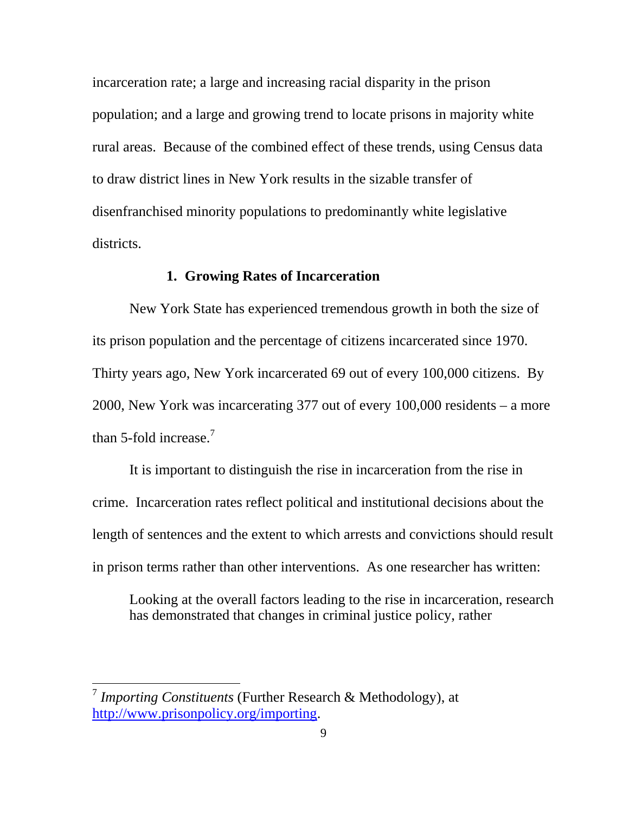incarceration rate; a large and increasing racial disparity in the prison population; and a large and growing trend to locate prisons in majority white rural areas. Because of the combined effect of these trends, using Census data to draw district lines in New York results in the sizable transfer of disenfranchised minority populations to predominantly white legislative districts.

#### **1. Growing Rates of Incarceration**

New York State has experienced tremendous growth in both the size of its prison population and the percentage of citizens incarcerated since 1970. Thirty years ago, New York incarcerated 69 out of every 100,000 citizens. By 2000, New York was incarcerating 377 out of every 100,000 residents – a more than 5-fold increase.<sup>[7](#page-17-0)</sup>

It is important to distinguish the rise in incarceration from the rise in crime. Incarceration rates reflect political and institutional decisions about the length of sentences and the extent to which arrests and convictions should result in prison terms rather than other interventions. As one researcher has written:

Looking at the overall factors leading to the rise in incarceration, research has demonstrated that changes in criminal justice policy, rather

<span id="page-17-0"></span><sup>7</sup> *Importing Constituents* (Further Research & Methodology), at [http://www.prisonpolicy.org/importing.](http://www.prisonpolicy.org/importing)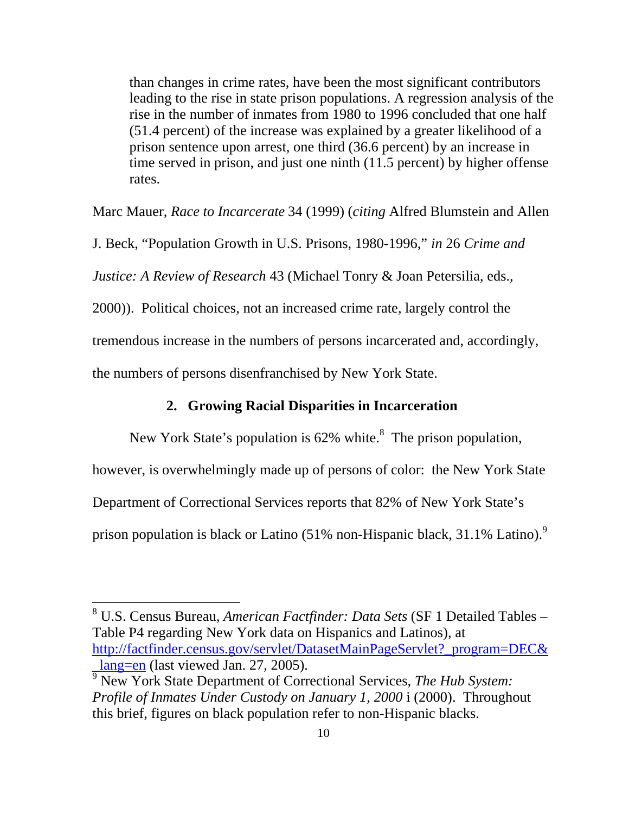than changes in crime rates, have been the most significant contributors leading to the rise in state prison populations. A regression analysis of the rise in the number of inmates from 1980 to 1996 concluded that one half (51.4 percent) of the increase was explained by a greater likelihood of a prison sentence upon arrest, one third (36.6 percent) by an increase in time served in prison, and just one ninth (11.5 percent) by higher offense rates.

Marc Mauer, *Race to Incarcerate* 34 (1999) (*citing* Alfred Blumstein and Allen

J. Beck, "Population Growth in U.S. Prisons, 1980-1996," *in* 26 *Crime and* 

*Justice: A Review of Research* 43 (Michael Tonry & Joan Petersilia, eds.,

2000)). Political choices, not an increased crime rate, largely control the

tremendous increase in the numbers of persons incarcerated and, accordingly,

the numbers of persons disenfranchised by New York State.

 $\overline{a}$ 

#### **2. Growing Racial Disparities in Incarceration**

New York State's population is  $62\%$  white.<sup>[8](#page-18-0)</sup> The prison population,

however, is overwhelmingly made up of persons of color: the New York State

Department of Correctional Services reports that 82% of New York State's

prison population is black or Latino (51% non-Hispanic black, 31.1% Latino).<sup>[9](#page-18-1)</sup>

<span id="page-18-0"></span>8 U.S. Census Bureau, *American Factfinder: Data Sets* (SF 1 Detailed Tables – Table P4 regarding New York data on Hispanics and Latinos), at [http://factfinder.census.gov/servlet/DatasetMainPageServlet?\\_program=DEC&](http://factfinder.census.gov/servlet/DatasetMainPageServlet?_program=DEC&_lang=en) lang=en (last viewed Jan. 27, 2005).

<span id="page-18-1"></span>9 New York State Department of Correctional Services, *The Hub System: Profile of Inmates Under Custody on January 1, 2000* i (2000). Throughout this brief, figures on black population refer to non-Hispanic blacks.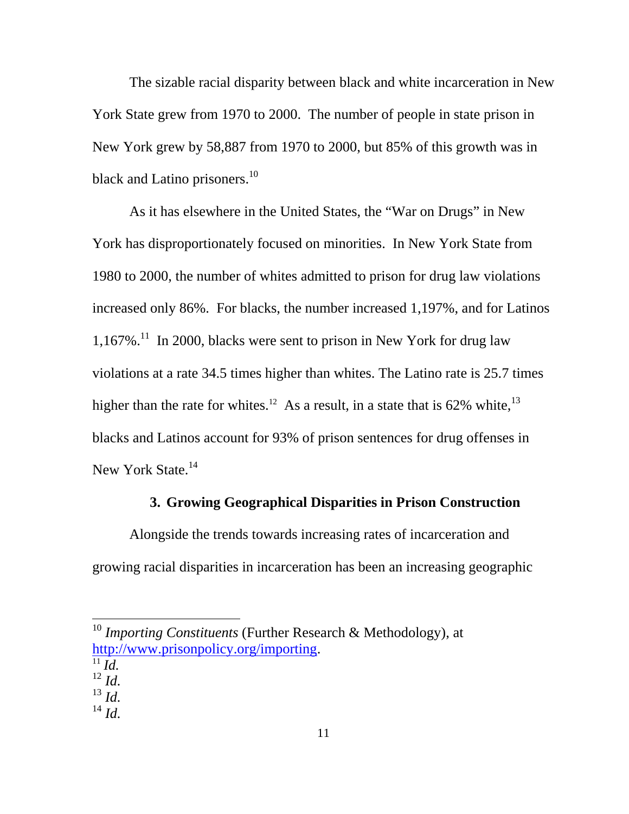The sizable racial disparity between black and white incarceration in New York State grew from 1970 to 2000. The number of people in state prison in New York grew by 58,887 from 1970 to 2000, but 85% of this growth was in black and Latino prisoners.<sup>10</sup>

As it has elsewhere in the United States, the "War on Drugs" in New York has disproportionately focused on minorities. In New York State from 1980 to 2000, the number of whites admitted to prison for drug law violations increased only 86%. For blacks, the number increased 1,197%, and for Latinos  $1,167\%$ .<sup>11</sup> In 2000, blacks were sent to prison in New York for drug law violations at a rate 34.5 times higher than whites. The Latino rate is 25.7 times higher than the rate for whites.<sup>12</sup> As a result, in a state that is  $62\%$  white,<sup>[13](#page-19-3)</sup> blacks and Latinos account for 93% of prison sentences for drug offenses in New York State.<sup>14</sup>

#### **3. Growing Geographical Disparities in Prison Construction**

Alongside the trends towards increasing rates of incarceration and growing racial disparities in incarceration has been an increasing geographic

<span id="page-19-2"></span><span id="page-19-1"></span>

- $\frac{11}{12}$ *Id. Id.*
- <span id="page-19-3"></span> $^{13}$  *Id.*
- <span id="page-19-4"></span><sup>14</sup> *Id.*

<span id="page-19-0"></span><sup>10</sup> *Importing Constituents* (Further Research & Methodology), at [http://www.prisonpolicy.org/importing.](http://www.prisonpolicy.org/importing)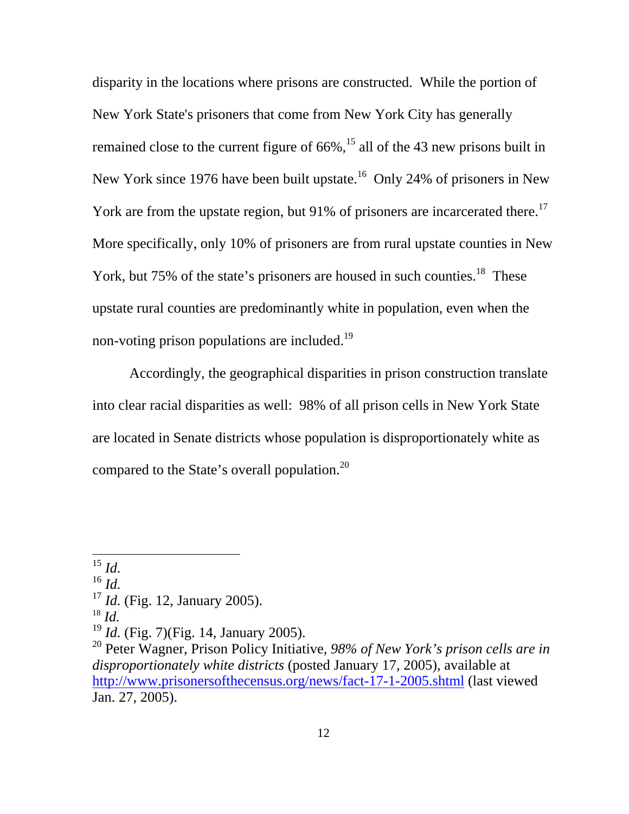disparity in the locations where prisons are constructed. While the portion of New York State's prisoners that come from New York City has generally remained close to the current figure of  $66\%$ ,<sup>15</sup> all of the 43 new prisons built in New York since 1976 have been built upstate.<sup>16</sup> Only 24% of prisoners in New York are from the upstate region, but 91% of prisoners are incarcerated there.<sup>17</sup> More specifically, only 10% of prisoners are from rural upstate counties in New York, but 75% of the state's prisoners are housed in such counties.<sup>18</sup> These upstate rural counties are predominantly white in population, even when the non-voting prison populations are included.<sup>19</sup>

Accordingly, the geographical disparities in prison construction translate into clear racial disparities as well: 98% of all prison cells in New York State are located in Senate districts whose population is disproportionately white as compared to the State's overall population.[20](#page-20-5) 

 $\overline{a}$ 

<span id="page-20-1"></span><sup>16</sup> *Id.*

<span id="page-20-3"></span>

<span id="page-20-0"></span><sup>15</sup> *Id.*

<span id="page-20-2"></span><sup>&</sup>lt;sup>17</sup> *Id.* (Fig. 12, January 2005). <sup>18</sup> *Id.* 

<span id="page-20-4"></span><sup>&</sup>lt;sup>19</sup> *Id.* (Fig. 7)(Fig. 14, January 2005).

<span id="page-20-5"></span><sup>20</sup> Peter Wagner, Prison Policy Initiative, *98% of New York's prison cells are in disproportionately white districts* (posted January 17, 2005), available at <http://www.prisonersofthecensus.org/news/fact-17-1-2005.shtml> (last viewed Jan. 27, 2005).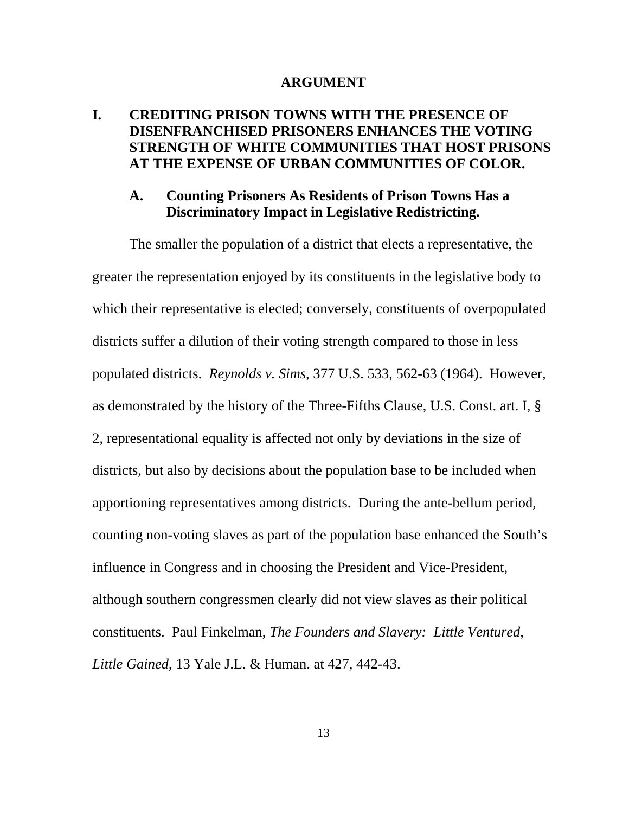#### **ARGUMENT**

## **I. CREDITING PRISON TOWNS WITH THE PRESENCE OF DISENFRANCHISED PRISONERS ENHANCES THE VOTING STRENGTH OF WHITE COMMUNITIES THAT HOST PRISONS AT THE EXPENSE OF URBAN COMMUNITIES OF COLOR.**

#### **A. Counting Prisoners As Residents of Prison Towns Has a Discriminatory Impact in Legislative Redistricting.**

The smaller the population of a district that elects a representative, the greater the representation enjoyed by its constituents in the legislative body to which their representative is elected; conversely, constituents of overpopulated districts suffer a dilution of their voting strength compared to those in less populated districts. *Reynolds v. Sims,* 377 U.S. 533, 562-63 (1964). However, as demonstrated by the history of the Three-Fifths Clause, U.S. Const. art. I, § 2, representational equality is affected not only by deviations in the size of districts, but also by decisions about the population base to be included when apportioning representatives among districts. During the ante-bellum period, counting non-voting slaves as part of the population base enhanced the South's influence in Congress and in choosing the President and Vice-President, although southern congressmen clearly did not view slaves as their political constituents. Paul Finkelman, *The Founders and Slavery: Little Ventured, Little Gained*, 13 Yale J.L. & Human. at 427, 442-43.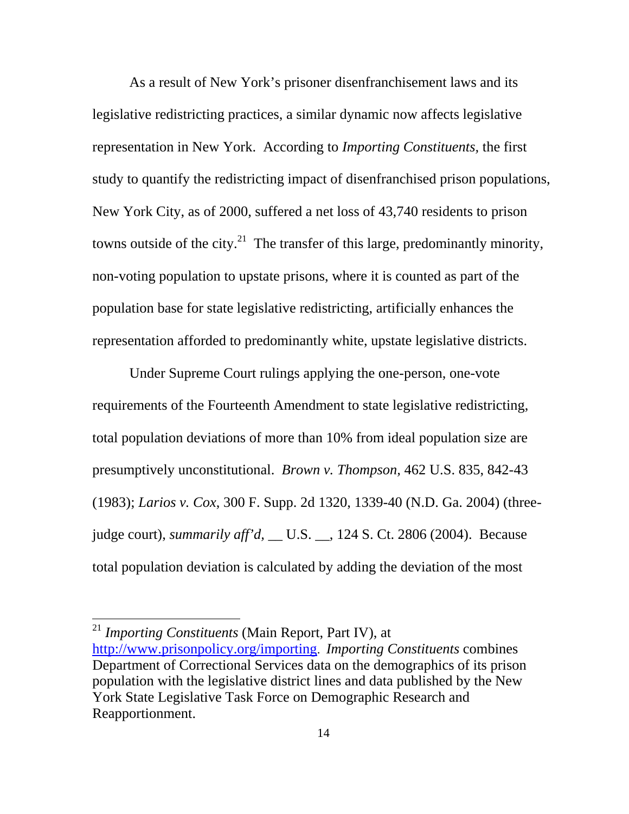As a result of New York's prisoner disenfranchisement laws and its legislative redistricting practices, a similar dynamic now affects legislative representation in New York. According to *Importing Constituents,* the first study to quantify the redistricting impact of disenfranchised prison populations, New York City, as of 2000, suffered a net loss of 43,740 residents to prison towns outside of the city.<sup>[21](#page-22-0)</sup> The transfer of this large, predominantly minority, non-voting population to upstate prisons, where it is counted as part of the population base for state legislative redistricting, artificially enhances the representation afforded to predominantly white, upstate legislative districts.

Under Supreme Court rulings applying the one-person, one-vote requirements of the Fourteenth Amendment to state legislative redistricting, total population deviations of more than 10% from ideal population size are presumptively unconstitutional. *Brown v. Thompson,* 462 U.S. 835, 842-43 (1983); *Larios v. Cox*, 300 F. Supp. 2d 1320, 1339-40 (N.D. Ga. 2004) (threejudge court), *summarily aff'd,* \_\_ U.S. \_\_, 124 S. Ct. 2806 (2004). Because total population deviation is calculated by adding the deviation of the most

<span id="page-22-0"></span><sup>21</sup> *Importing Constituents* (Main Report, Part IV), at [http://www.prisonpolicy.org/importing.](http://www.prisonpolicy.org/importing) *Importing Constituents* combines Department of Correctional Services data on the demographics of its prison population with the legislative district lines and data published by the New York State Legislative Task Force on Demographic Research and Reapportionment.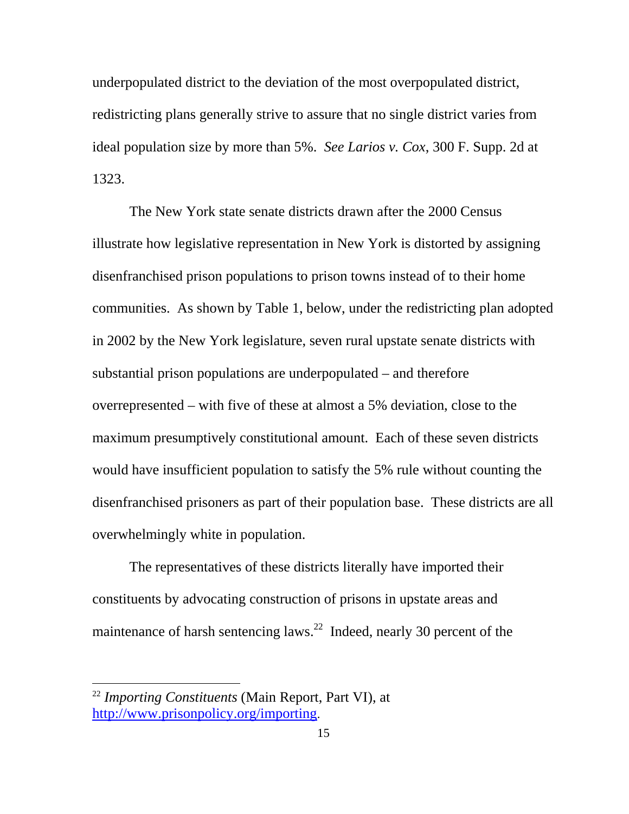underpopulated district to the deviation of the most overpopulated district, redistricting plans generally strive to assure that no single district varies from ideal population size by more than 5%. *See Larios v. Cox*, 300 F. Supp. 2d at 1323.

The New York state senate districts drawn after the 2000 Census illustrate how legislative representation in New York is distorted by assigning disenfranchised prison populations to prison towns instead of to their home communities. As shown by Table 1, below, under the redistricting plan adopted in 2002 by the New York legislature, seven rural upstate senate districts with substantial prison populations are underpopulated – and therefore overrepresented – with five of these at almost a 5% deviation, close to the maximum presumptively constitutional amount. Each of these seven districts would have insufficient population to satisfy the 5% rule without counting the disenfranchised prisoners as part of their population base. These districts are all overwhelmingly white in population.

The representatives of these districts literally have imported their constituents by advocating construction of prisons in upstate areas and maintenance of harsh sentencing laws.<sup>22</sup> Indeed, nearly 30 percent of the

<span id="page-23-0"></span><sup>22</sup> *Importing Constituents* (Main Report, Part VI), at [http://www.prisonpolicy.org/importing.](http://www.prisonpolicy.org/importing)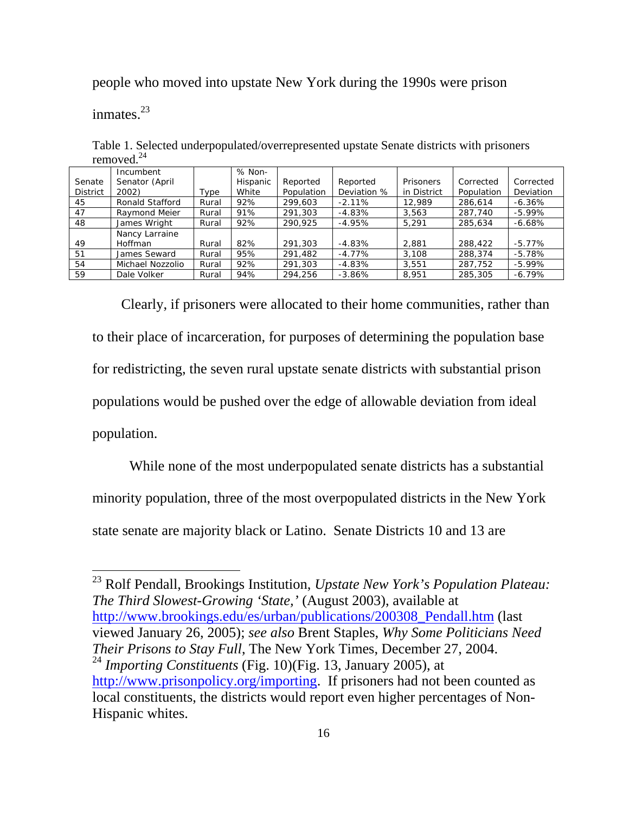people who moved into upstate New York during the 1990s were prison

inmates.<sup>23</sup>

 $\overline{a}$ 

| removed.        |                  |       |          |            |             |             |            |           |
|-----------------|------------------|-------|----------|------------|-------------|-------------|------------|-----------|
|                 | Incumbent        |       | % Non-   |            |             |             |            |           |
| Senate          | Senator (April   |       | Hispanic | Reported   | Reported    | Prisoners   | Corrected  | Corrected |
| <b>District</b> | 2002)            | Type  | White    | Population | Deviation % | in District | Population | Deviation |
| 45              | Ronald Stafford  | Rural | 92%      | 299,603    | $-2.11%$    | 12.989      | 286.614    | $-6.36\%$ |
| 47              | Raymond Meier    | Rural | 91%      | 291,303    | $-4.83%$    | 3,563       | 287,740    | $-5.99\%$ |
| 48              | James Wright     | Rural | 92%      | 290.925    | $-4.95%$    | 5.291       | 285,634    | $-6.68%$  |
|                 | Nancy Larraine   |       |          |            |             |             |            |           |
| 49              | <b>Hoffman</b>   | Rural | 82%      | 291,303    | $-4.83%$    | 2,881       | 288,422    | $-5.77%$  |
| 51              | James Seward     | Rural | 95%      | 291,482    | $-4.77\%$   | 3.108       | 288,374    | $-5.78%$  |
| 54              | Michael Nozzolio | Rural | 92%      | 291,303    | $-4.83%$    | 3.551       | 287,752    | $-5.99\%$ |
| 59              | Dale Volker      | Rural | 94%      | 294.256    | $-3.86%$    | 8.951       | 285,305    | $-6.79%$  |

Table 1. Selected underpopulated/overrepresented upstate Senate districts with prisoners removed. $24$ 

Clearly, if prisoners were allocated to their home communities, rather than to their place of incarceration, for purposes of determining the population base for redistricting, the seven rural upstate senate districts with substantial prison populations would be pushed over the edge of allowable deviation from ideal population.

While none of the most underpopulated senate districts has a substantial minority population, three of the most overpopulated districts in the New York state senate are majority black or Latino. Senate Districts 10 and 13 are

<span id="page-24-1"></span><span id="page-24-0"></span><sup>23</sup> Rolf Pendall, Brookings Institution, *Upstate New York's Population Plateau: The Third Slowest-Growing 'State,'* (August 2003), available at http://www.brookings.edu/es/urban/publications/200308 Pendall.htm (last viewed January 26, 2005); *see also* Brent Staples, *Why Some Politicians Need Their Prisons to Stay Full*, The New York Times, December 27, 2004. <sup>24</sup> *Importing Constituents* (Fig. 10)(Fig. 13, January 2005), at [http://www.prisonpolicy.org/importing.](http://www.prisonpolicy.org/importing) If prisoners had not been counted as local constituents, the districts would report even higher percentages of Non-Hispanic whites.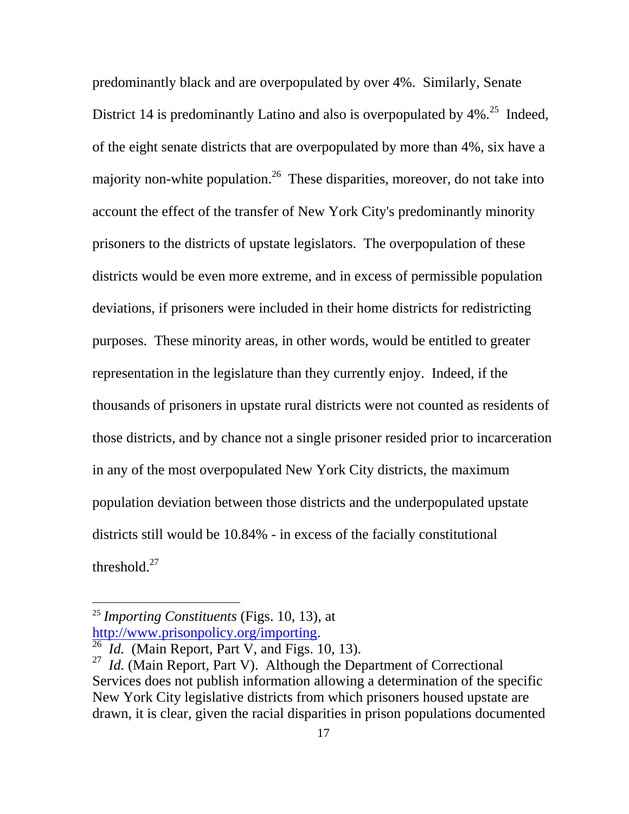<span id="page-25-2"></span>predominantly black and are overpopulated by over 4%. Similarly, Senate District 14 is predominantly Latino and also is overpopulated by  $4\%$ <sup>25</sup> Indeed, of the eight senate districts that are overpopulated by more than 4%, six have a majority non-white population.<sup>26</sup> These disparities, moreover, do not take into account the effect of the transfer of New York City's predominantly minority prisoners to the districts of upstate legislators. The overpopulation of these districts would be even more extreme, and in excess of permissible population deviations, if prisoners were included in their home districts for redistricting purposes. These minority areas, in other words, would be entitled to greater representation in the legislature than they currently enjoy. Indeed, if the thousands of prisoners in upstate rural districts were not counted as residents of those districts, and by chance not a single prisoner resided prior to incarceration in any of the most overpopulated New York City districts, the maximum population deviation between those districts and the underpopulated upstate districts still would be 10.84% - in excess of the facially constitutional threshold. $27$ 

<span id="page-25-0"></span><sup>25</sup> *Importing Constituents* (Figs. 10, 13), at

<span id="page-25-1"></span>[http://www.prisonpolicy.org/importing.](http://www.prisonpolicy.org/importing) <sup>26</sup>*Id.* (Main Report, Part V, and Figs. 10, 13).

<sup>&</sup>lt;sup>27</sup> *Id.* (Main Report, Part V). Although the Department of Correctional Services does not publish information allowing a determination of the specific New York City legislative districts from which prisoners housed upstate are drawn, it is clear, given the racial disparities in prison populations documented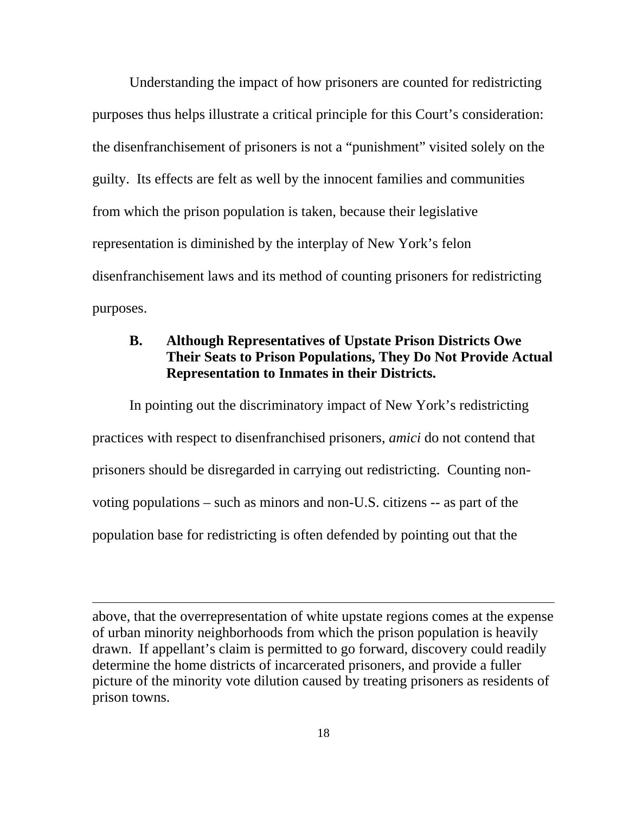Understanding the impact of how prisoners are counted for redistricting purposes thus helps illustrate a critical principle for this Court's consideration: the disenfranchisement of prisoners is not a "punishment" visited solely on the guilty. Its effects are felt as well by the innocent families and communities from which the prison population is taken, because their legislative representation is diminished by the interplay of New York's felon disenfranchisement laws and its method of counting prisoners for redistricting purposes.

## **B. Although Representatives of Upstate Prison Districts Owe Their Seats to Prison Populations, They Do Not Provide Actual Representation to Inmates in their Districts.**

In pointing out the discriminatory impact of New York's redistricting practices with respect to disenfranchised prisoners, *amici* do not contend that prisoners should be disregarded in carrying out redistricting. Counting nonvoting populations – such as minors and non-U.S. citizens -- as part of the population base for redistricting is often defended by pointing out that the

above, that the overrepresentation of white upstate regions comes at the expense of urban minority neighborhoods from which the prison population is heavily drawn. If appellant's claim is permitted to go forward, discovery could readily determine the home districts of incarcerated prisoners, and provide a fuller picture of the minority vote dilution caused by treating prisoners as residents of prison towns.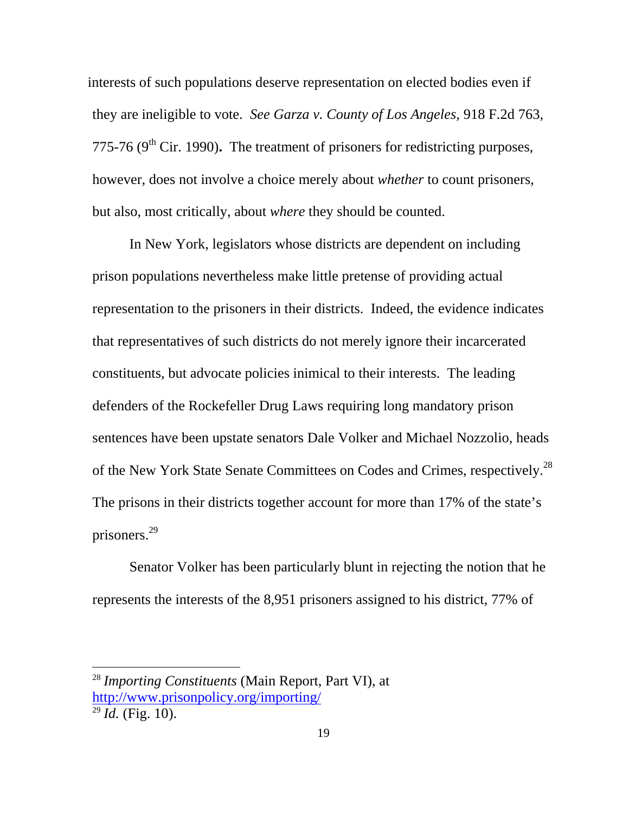interests of such populations deserve representation on elected bodies even if they are ineligible to vote. *See Garza v. County of Los Angeles,* 918 F.2d 763, 775-76 (9<sup>th</sup> Cir. 1990). The treatment of prisoners for redistricting purposes, however, does not involve a choice merely about *whether* to count prisoners, but also, most critically, about *where* they should be counted.

In New York, legislators whose districts are dependent on including prison populations nevertheless make little pretense of providing actual representation to the prisoners in their districts. Indeed, the evidence indicates that representatives of such districts do not merely ignore their incarcerated constituents, but advocate policies inimical to their interests. The leading defenders of the Rockefeller Drug Laws requiring long mandatory prison sentences have been upstate senators Dale Volker and Michael Nozzolio, heads of the New York State Senate Committees on Codes and Crimes, respectively.<sup>28</sup> The prisons in their districts together account for more than 17% of the state's prisoners.[29](#page-27-1)

Senator Volker has been particularly blunt in rejecting the notion that he represents the interests of the 8,951 prisoners assigned to his district, 77% of

<span id="page-27-0"></span><sup>28</sup> *Importing Constituents* (Main Report, Part VI), at <http://www.prisonpolicy.org/importing/>

<span id="page-27-1"></span> $\overline{^{29}Id}$ . (Fig. 10).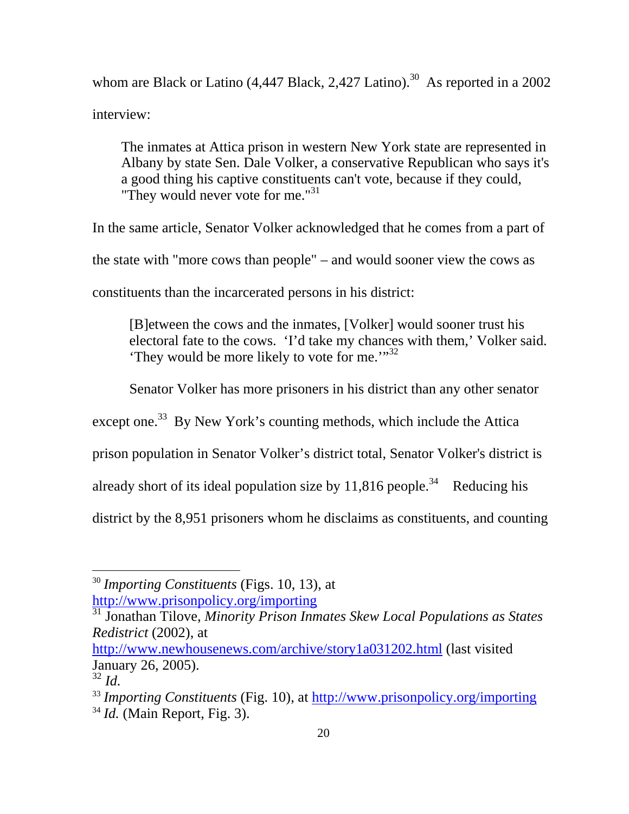whom are Black or Latino  $(4,447 \text{ Black}, 2,427 \text{ Latin})^{30}$ . As reported in a 2002 interview:

The inmates at Attica prison in western New York state are represented in Albany by state Sen. Dale Volker, a conservative Republican who says it's a good thing his captive constituents can't vote, because if they could, "They would never vote for me."<sup>31</sup>

In the same article, Senator Volker acknowledged that he comes from a part of the state with "more cows than people" – and would sooner view the cows as constituents than the incarcerated persons in his district:

[B]etween the cows and the inmates, [Volker] would sooner trust his electoral fate to the cows. 'I'd take my chances with them,' Volker said. 'They would be more likely to vote for me.'"[32](#page-28-2) 

Senator Volker has more prisoners in his district than any other senator

except one.<sup>33</sup> By New York's counting methods, which include the Attica

prison population in Senator Volker's district total, Senator Volker's district is

already short of its ideal population size by  $11,816$  people.<sup>34</sup> Reducing his

district by the 8,951 prisoners whom he disclaims as constituents, and counting

<span id="page-28-0"></span><sup>30</sup> *Importing Constituents* (Figs. 10, 13), at <http://www.prisonpolicy.org/importing>

<span id="page-28-1"></span>31 Jonathan Tilove, *Minority Prison Inmates Skew Local Populations as States Redistrict* (2002), at

<http://www.newhousenews.com/archive/story1a031202.html>(last visited January 26, 2005).

<span id="page-28-2"></span> $rac{32}{32}$ *Id.* 

<span id="page-28-4"></span><span id="page-28-3"></span><sup>33</sup> *Importing Constituents* (Fig. 10), at <http://www.prisonpolicy.org/importing> <sup>34</sup> *Id.* (Main Report, Fig. 3).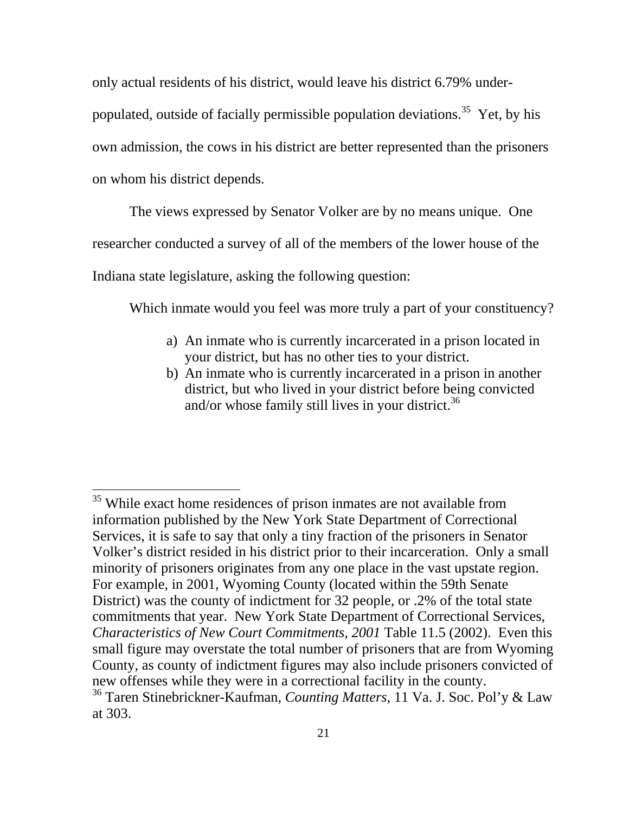only actual residents of his district, would leave his district 6.79% under-

populated, outside of facially permissible population deviations.<sup>35</sup> Yet, by his

own admission, the cows in his district are better represented than the prisoners

on whom his district depends.

 $\overline{a}$ 

The views expressed by Senator Volker are by no means unique. One

researcher conducted a survey of all of the members of the lower house of the

Indiana state legislature, asking the following question:

Which inmate would you feel was more truly a part of your constituency?

- a) An inmate who is currently incarcerated in a prison located in your district, but has no other ties to your district.
- b) An inmate who is currently incarcerated in a prison in another district, but who lived in your district before being convicted and/or whose family still lives in your district.<sup>[36](#page-29-1)</sup>

<span id="page-29-0"></span><sup>&</sup>lt;sup>35</sup> While exact home residences of prison inmates are not available from information published by the New York State Department of Correctional Services, it is safe to say that only a tiny fraction of the prisoners in Senator Volker's district resided in his district prior to their incarceration. Only a small minority of prisoners originates from any one place in the vast upstate region. For example, in 2001, Wyoming County (located within the 59th Senate District) was the county of indictment for 32 people, or .2% of the total state commitments that year. New York State Department of Correctional Services, *Characteristics of New Court Commitments, 2001* Table 11.5 (2002). Even this small figure may overstate the total number of prisoners that are from Wyoming County, as county of indictment figures may also include prisoners convicted of new offenses while they were in a correctional facility in the county.36 Taren Stinebrickner-Kaufman, *Counting Matters*, 11 Va. J. Soc. Pol'y & Law

<span id="page-29-1"></span>at 303.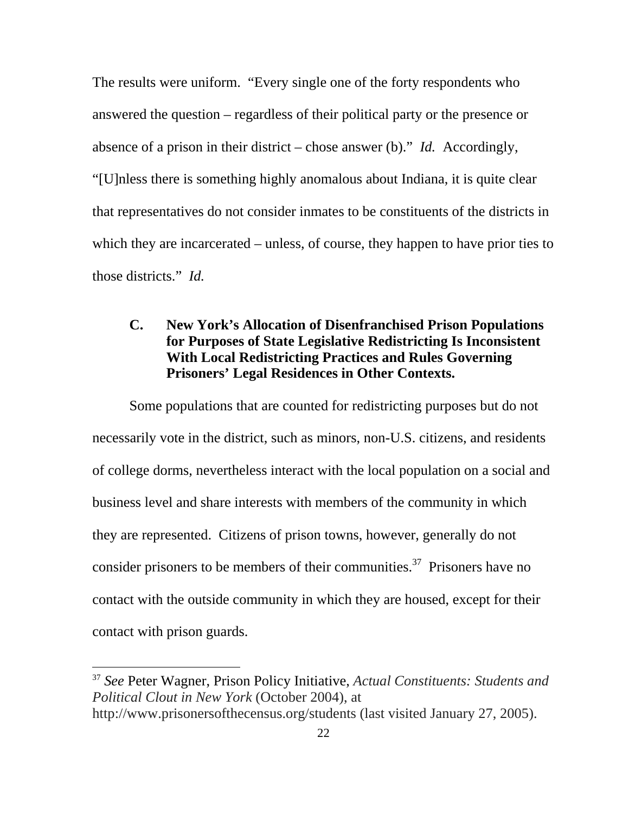The results were uniform. "Every single one of the forty respondents who answered the question – regardless of their political party or the presence or absence of a prison in their district – chose answer (b)." *Id.* Accordingly, "[U]nless there is something highly anomalous about Indiana, it is quite clear that representatives do not consider inmates to be constituents of the districts in which they are incarcerated – unless, of course, they happen to have prior ties to those districts." *Id.* 

## **C. New York's Allocation of Disenfranchised Prison Populations for Purposes of State Legislative Redistricting Is Inconsistent With Local Redistricting Practices and Rules Governing Prisoners' Legal Residences in Other Contexts.**

Some populations that are counted for redistricting purposes but do not necessarily vote in the district, such as minors, non-U.S. citizens, and residents of college dorms, nevertheless interact with the local population on a social and business level and share interests with members of the community in which they are represented. Citizens of prison towns, however, generally do not consider prisoners to be members of their communities.<sup>37</sup> Prisoners have no contact with the outside community in which they are housed, except for their contact with prison guards.

<span id="page-30-0"></span><sup>37</sup> *See* Peter Wagner, Prison Policy Initiative, *Actual Constituents: Students and Political Clout in New York* (October 2004), at http://www.prisonersofthecensus.org/students (last visited January 27, 2005).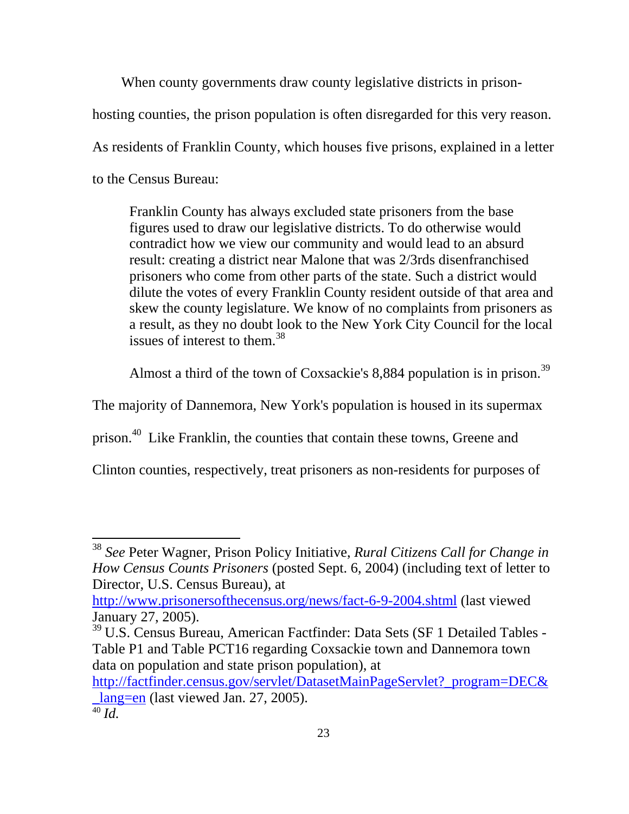When county governments draw county legislative districts in prisonhosting counties, the prison population is often disregarded for this very reason. As residents of Franklin County, which houses five prisons, explained in a letter to the Census Bureau:

Franklin County has always excluded state prisoners from the base figures used to draw our legislative districts. To do otherwise would contradict how we view our community and would lead to an absurd result: creating a district near Malone that was 2/3rds disenfranchised prisoners who come from other parts of the state. Such a district would dilute the votes of every Franklin County resident outside of that area and skew the county legislature. We know of no complaints from prisoners as a result, as they no doubt look to the New York City Council for the local issues of interest to them. [38](#page-31-0)

Almost a third of the town of Coxsackie's 8,884 population is in prison.[39](#page-31-1) 

The majority of Dannemora, New York's population is housed in its supermax

prison[.40](#page-31-2) Like Franklin, the counties that contain these towns, Greene and

Clinton counties, respectively, treat prisoners as non-residents for purposes of

<span id="page-31-0"></span><sup>38</sup> *See* Peter Wagner, Prison Policy Initiative, *Rural Citizens Call for Change in How Census Counts Prisoners* (posted Sept. 6, 2004) (including text of letter to Director, U.S. Census Bureau), at

<http://www.prisonersofthecensus.org/news/fact-6-9-2004.shtml> (last viewed January 27, 2005).

<span id="page-31-1"></span><sup>39</sup> U.S. Census Bureau, American Factfinder: Data Sets (SF 1 Detailed Tables - Table P1 and Table PCT16 regarding Coxsackie town and Dannemora town data on population and state prison population), at

[http://factfinder.census.gov/servlet/DatasetMainPageServlet?\\_program=DEC&](http://factfinder.census.gov/servlet/DatasetMainPageServlet?_program=DEC&_lang=en)  $lang=en$  (last viewed Jan. 27, 2005).

<span id="page-31-2"></span><sup>40</sup> *Id.*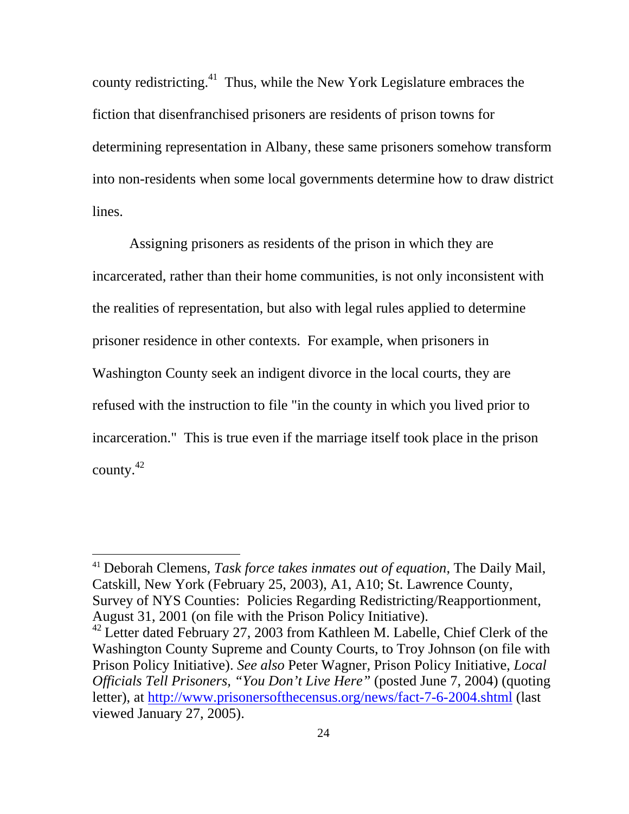county redistricting. $41$  Thus, while the New York Legislature embraces the fiction that disenfranchised prisoners are residents of prison towns for determining representation in Albany, these same prisoners somehow transform into non-residents when some local governments determine how to draw district lines.

Assigning prisoners as residents of the prison in which they are incarcerated, rather than their home communities, is not only inconsistent with the realities of representation, but also with legal rules applied to determine prisoner residence in other contexts. For example, when prisoners in Washington County seek an indigent divorce in the local courts, they are refused with the instruction to file "in the county in which you lived prior to incarceration." This is true even if the marriage itself took place in the prison county.[42](#page-32-1) 

<span id="page-32-0"></span><sup>41</sup> Deborah Clemens, *Task force takes inmates out of equation*, The Daily Mail, Catskill, New York (February 25, 2003), A1, A10; St. Lawrence County, Survey of NYS Counties: Policies Regarding Redistricting/Reapportionment, August 31, 2001 (on file with the Prison Policy Initiative).

<span id="page-32-1"></span><sup>&</sup>lt;sup>42</sup> Letter dated February 27, 2003 from Kathleen M. Labelle, Chief Clerk of the Washington County Supreme and County Courts, to Troy Johnson (on file with Prison Policy Initiative). *See also* Peter Wagner, Prison Policy Initiative, *Local Officials Tell Prisoners, "You Don't Live Here"* (posted June 7, 2004) (quoting letter), at <http://www.prisonersofthecensus.org/news/fact-7-6-2004.shtml> (last viewed January 27, 2005).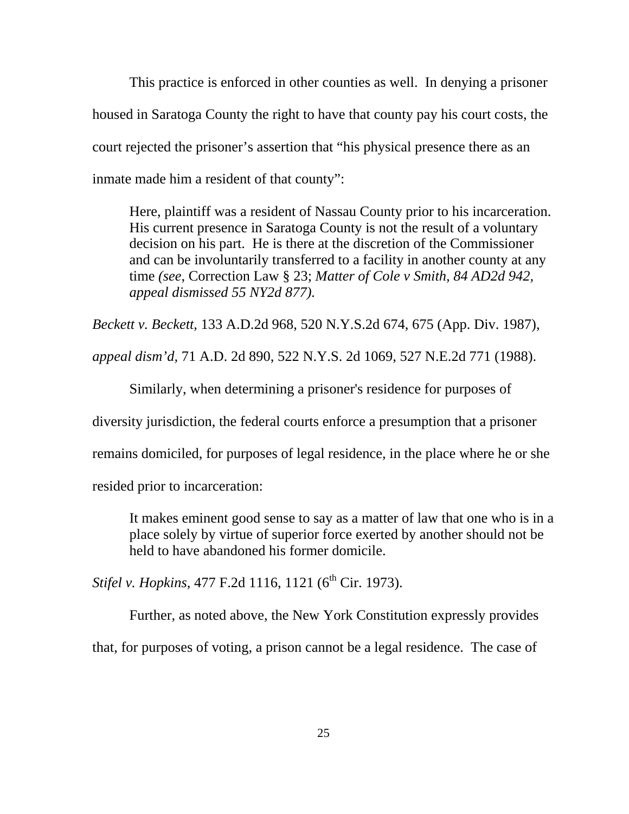This practice is enforced in other counties as well. In denying a prisoner housed in Saratoga County the right to have that county pay his court costs, the court rejected the prisoner's assertion that "his physical presence there as an inmate made him a resident of that county":

Here, plaintiff was a resident of Nassau County prior to his incarceration. His current presence in Saratoga County is not the result of a voluntary decision on his part. He is there at the discretion of the Commissioner and can be involuntarily transferred to a facility in another county at any time *(see*, Correction Law § 23; *Matter of Cole v Smith, 84 AD2d 942, appeal dismissed 55 NY2d 877).*

*Beckett v. Beckett*, 133 A.D.2d 968, 520 N.Y.S.2d 674, 675 (App. Div. 1987),

*appeal dism'd,* 71 A.D. 2d 890, 522 N.Y.S. 2d 1069, 527 N.E.2d 771 (1988).

Similarly, when determining a prisoner's residence for purposes of

diversity jurisdiction, the federal courts enforce a presumption that a prisoner

remains domiciled, for purposes of legal residence, in the place where he or she

resided prior to incarceration:

It makes eminent good sense to say as a matter of law that one who is in a place solely by virtue of superior force exerted by another should not be held to have abandoned his former domicile.

*Stifel v. Hopkins*, 477 F.2d 1116, 1121 (6<sup>th</sup> Cir. 1973).

Further, as noted above, the New York Constitution expressly provides that, for purposes of voting, a prison cannot be a legal residence. The case of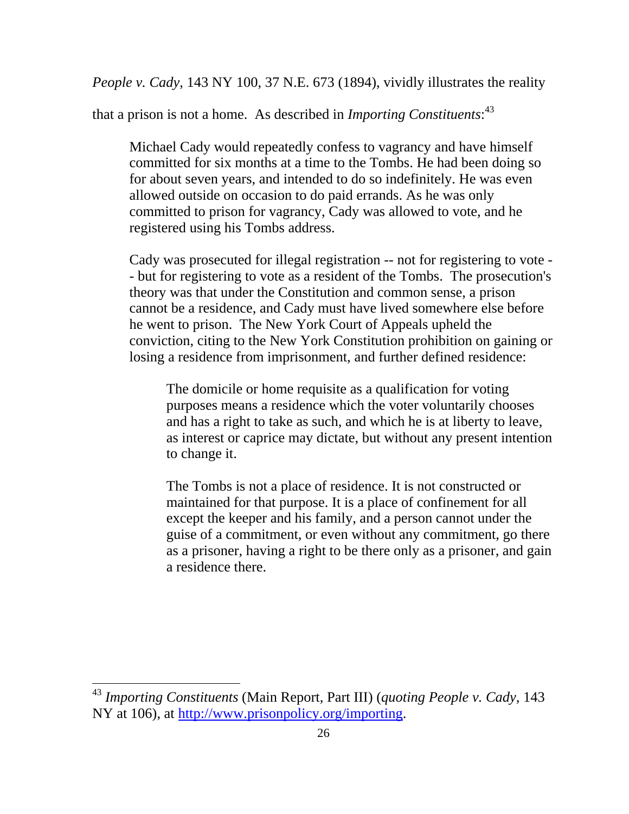*People v. Cady*, 143 NY 100, 37 N.E. 673 (1894), vividly illustrates the reality

that a prison is not a home. As described in *Importing Constituents*: [43](#page-34-0)

Michael Cady would repeatedly confess to vagrancy and have himself committed for six months at a time to the Tombs. He had been doing so for about seven years, and intended to do so indefinitely. He was even allowed outside on occasion to do paid errands. As he was only committed to prison for vagrancy, Cady was allowed to vote, and he registered using his Tombs address.

Cady was prosecuted for illegal registration -- not for registering to vote - - but for registering to vote as a resident of the Tombs. The prosecution's theory was that under the Constitution and common sense, a prison cannot be a residence, and Cady must have lived somewhere else before he went to prison. The New York Court of Appeals upheld the conviction, citing to the New York Constitution prohibition on gaining or losing a residence from imprisonment, and further defined residence:

The domicile or home requisite as a qualification for voting purposes means a residence which the voter voluntarily chooses and has a right to take as such, and which he is at liberty to leave, as interest or caprice may dictate, but without any present intention to change it.

The Tombs is not a place of residence. It is not constructed or maintained for that purpose. It is a place of confinement for all except the keeper and his family, and a person cannot under the guise of a commitment, or even without any commitment, go there as a prisoner, having a right to be there only as a prisoner, and gain a residence there.

<span id="page-34-0"></span><sup>43</sup> *Importing Constituents* (Main Report, Part III) (*quoting People v. Cady*, 143 NY at 106), at<http://www.prisonpolicy.org/importing>.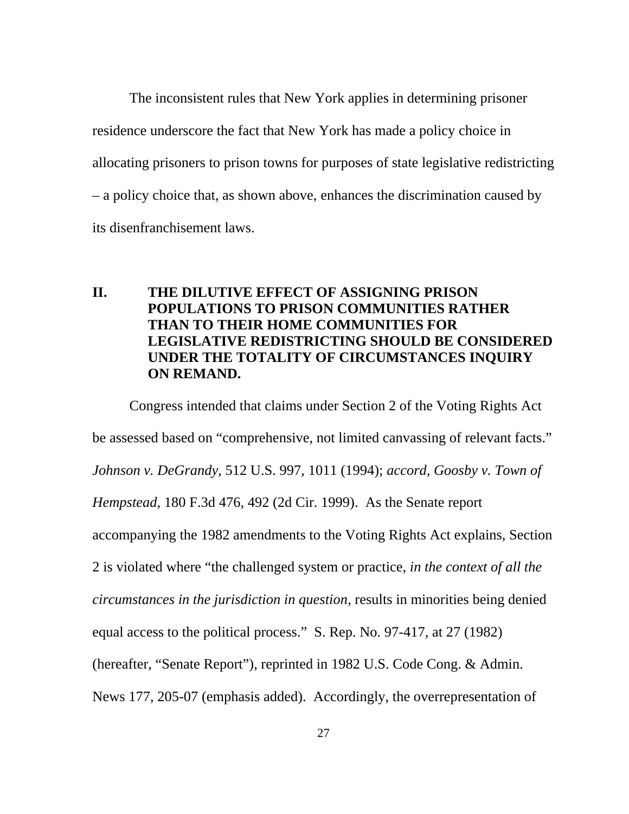The inconsistent rules that New York applies in determining prisoner residence underscore the fact that New York has made a policy choice in allocating prisoners to prison towns for purposes of state legislative redistricting – a policy choice that, as shown above, enhances the discrimination caused by its disenfranchisement laws.

## **II. THE DILUTIVE EFFECT OF ASSIGNING PRISON POPULATIONS TO PRISON COMMUNITIES RATHER THAN TO THEIR HOME COMMUNITIES FOR LEGISLATIVE REDISTRICTING SHOULD BE CONSIDERED UNDER THE TOTALITY OF CIRCUMSTANCES INQUIRY ON REMAND.**

Congress intended that claims under Section 2 of the Voting Rights Act be assessed based on "comprehensive, not limited canvassing of relevant facts." *Johnson v. DeGrandy*, 512 U.S. 997, 1011 (1994); *accord, Goosby v. Town of Hempstead*, 180 F.3d 476, 492 (2d Cir. 1999). As the Senate report accompanying the 1982 amendments to the Voting Rights Act explains, Section 2 is violated where "the challenged system or practice, *in the context of all the circumstances in the jurisdiction in question*, results in minorities being denied equal access to the political process." S. Rep. No. 97-417, at 27 (1982) (hereafter, "Senate Report"), reprinted in 1982 U.S. Code Cong. & Admin. News 177, 205-07 (emphasis added). Accordingly, the overrepresentation of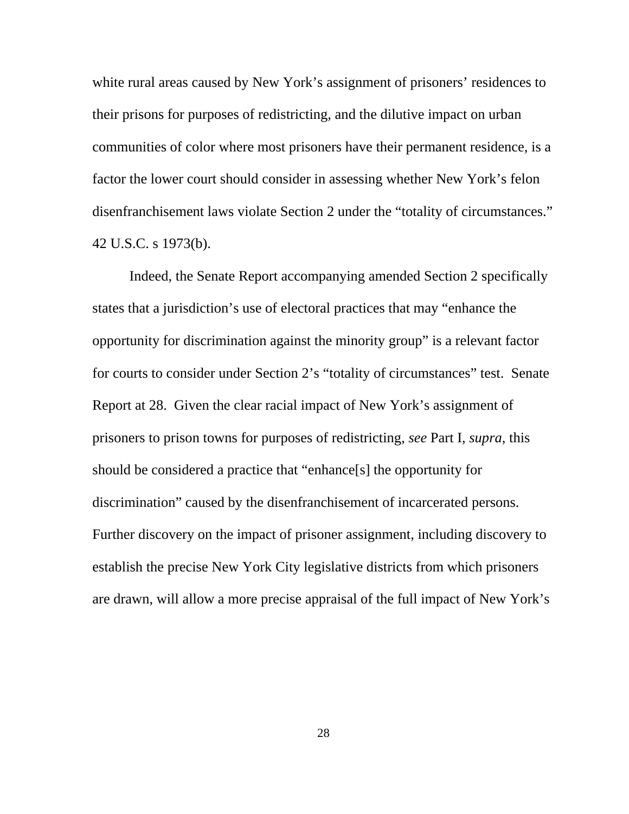white rural areas caused by New York's assignment of prisoners' residences to their prisons for purposes of redistricting, and the dilutive impact on urban communities of color where most prisoners have their permanent residence, is a factor the lower court should consider in assessing whether New York's felon disenfranchisement laws violate Section 2 under the "totality of circumstances." 42 U.S.C. s 1973(b).

Indeed, the Senate Report accompanying amended Section 2 specifically states that a jurisdiction's use of electoral practices that may "enhance the opportunity for discrimination against the minority group" is a relevant factor for courts to consider under Section 2's "totality of circumstances" test. Senate Report at 28. Given the clear racial impact of New York's assignment of prisoners to prison towns for purposes of redistricting, *see* Part I, *supra*, this should be considered a practice that "enhance[s] the opportunity for discrimination" caused by the disenfranchisement of incarcerated persons. Further discovery on the impact of prisoner assignment, including discovery to establish the precise New York City legislative districts from which prisoners are drawn, will allow a more precise appraisal of the full impact of New York's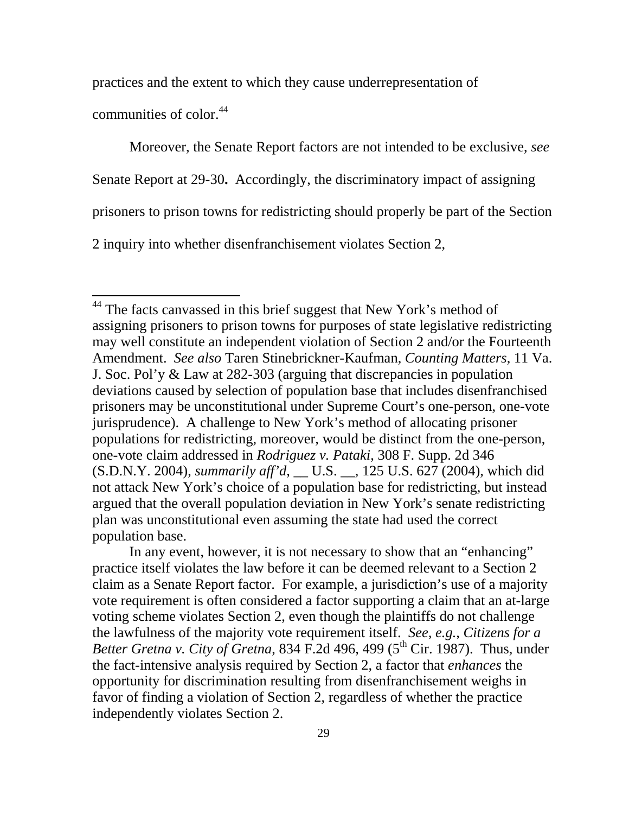practices and the extent to which they cause underrepresentation of

communities of color.<sup>44</sup>

 $\overline{a}$ 

Moreover, the Senate Report factors are not intended to be exclusive, *see* 

Senate Report at 29-30**.** Accordingly, the discriminatory impact of assigning

prisoners to prison towns for redistricting should properly be part of the Section

2 inquiry into whether disenfranchisement violates Section 2,

In any event, however, it is not necessary to show that an "enhancing" practice itself violates the law before it can be deemed relevant to a Section 2 claim as a Senate Report factor. For example, a jurisdiction's use of a majority vote requirement is often considered a factor supporting a claim that an at-large voting scheme violates Section 2, even though the plaintiffs do not challenge the lawfulness of the majority vote requirement itself. *See, e.g., Citizens for a Better Gretna v. City of Gretna*, 834 F.2d 496, 499 ( $5<sup>th</sup> Cir. 1987$ ). Thus, under the fact-intensive analysis required by Section 2, a factor that *enhances* the opportunity for discrimination resulting from disenfranchisement weighs in favor of finding a violation of Section 2, regardless of whether the practice independently violates Section 2.

<span id="page-37-0"></span> $44$  The facts canvassed in this brief suggest that New York's method of assigning prisoners to prison towns for purposes of state legislative redistricting may well constitute an independent violation of Section 2 and/or the Fourteenth Amendment. *See also* Taren Stinebrickner-Kaufman, *Counting Matters*, 11 Va. J. Soc. Pol'y & Law at 282-303 (arguing that discrepancies in population deviations caused by selection of population base that includes disenfranchised prisoners may be unconstitutional under Supreme Court's one-person, one-vote jurisprudence). A challenge to New York's method of allocating prisoner populations for redistricting, moreover, would be distinct from the one-person, one-vote claim addressed in *Rodriguez v. Pataki*, 308 F. Supp. 2d 346 (S.D.N.Y. 2004), *summarily aff'd*, \_\_ U.S. \_\_, 125 U.S. 627 (2004), which did not attack New York's choice of a population base for redistricting, but instead argued that the overall population deviation in New York's senate redistricting plan was unconstitutional even assuming the state had used the correct population base.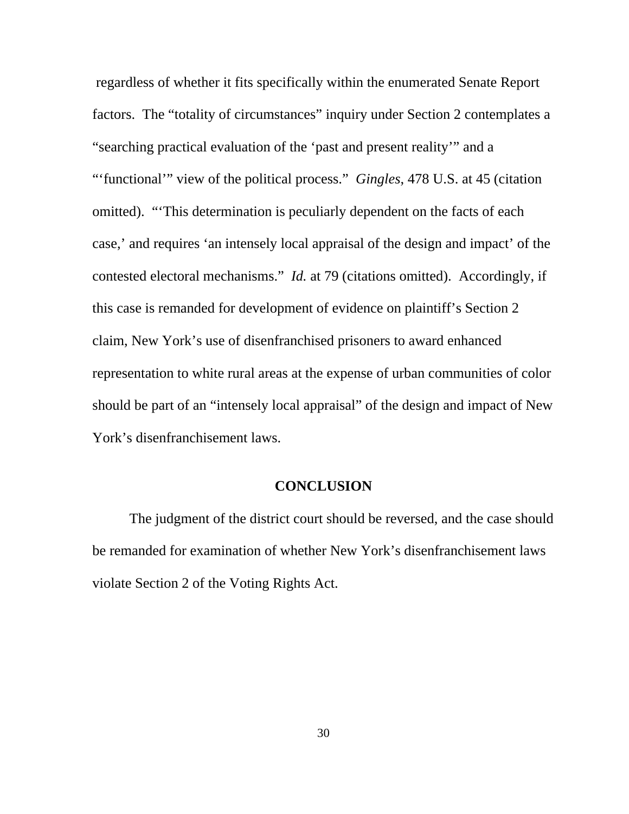regardless of whether it fits specifically within the enumerated Senate Report factors. The "totality of circumstances" inquiry under Section 2 contemplates a "searching practical evaluation of the 'past and present reality'" and a "'functional'" view of the political process." *Gingles*, 478 U.S. at 45 (citation omitted). "'This determination is peculiarly dependent on the facts of each case,' and requires 'an intensely local appraisal of the design and impact' of the contested electoral mechanisms." *Id.* at 79 (citations omitted). Accordingly, if this case is remanded for development of evidence on plaintiff's Section 2 claim, New York's use of disenfranchised prisoners to award enhanced representation to white rural areas at the expense of urban communities of color should be part of an "intensely local appraisal" of the design and impact of New York's disenfranchisement laws.

#### **CONCLUSION**

The judgment of the district court should be reversed, and the case should be remanded for examination of whether New York's disenfranchisement laws violate Section 2 of the Voting Rights Act.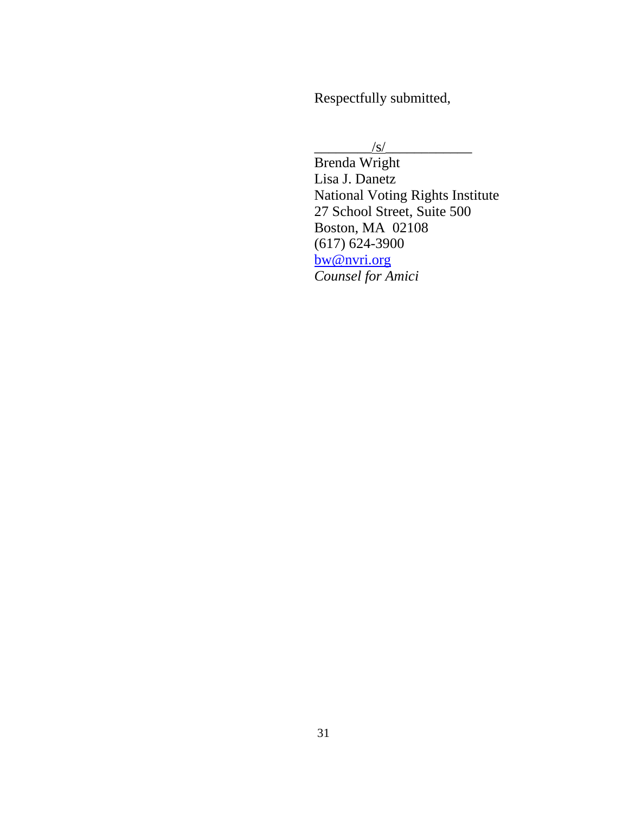Respectfully submitted,

 $\sqrt{s/}$ 

 Brenda Wright Lisa J. Danetz National Voting Rights Institute 27 School Street, Suite 500 Boston, MA 02108 (617) 624-3900 [bw@nvri.org](mailto:bw@nvri.org) *Counsel for Amici*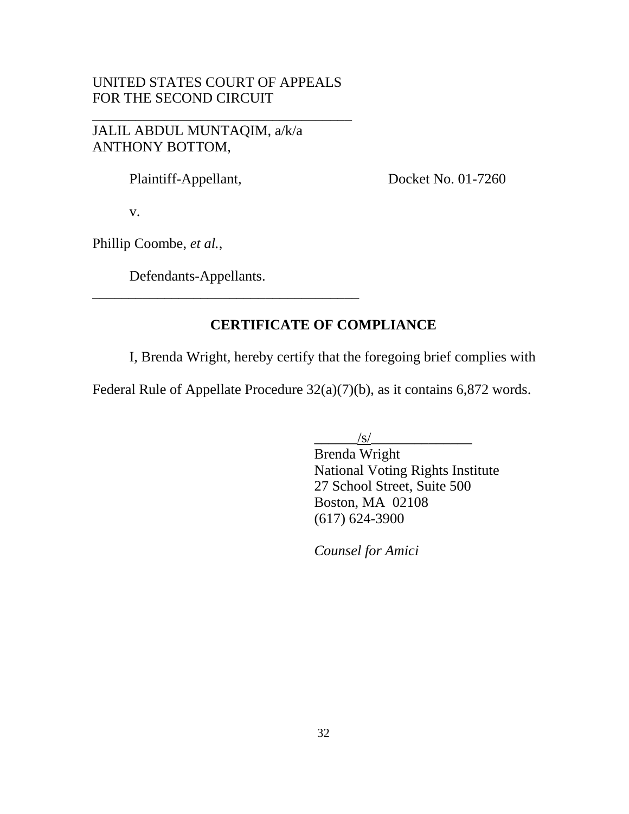#### UNITED STATES COURT OF APPEALS FOR THE SECOND CIRCUIT

\_\_\_\_\_\_\_\_\_\_\_\_\_\_\_\_\_\_\_\_\_\_\_\_\_\_\_\_\_\_\_\_\_\_\_\_

JALIL ABDUL MUNTAQIM, a/k/a ANTHONY BOTTOM,

Plaintiff-Appellant, Docket No. 01-7260

v.

Phillip Coombe, *et al.*,

Defendants-Appellants.

\_\_\_\_\_\_\_\_\_\_\_\_\_\_\_\_\_\_\_\_\_\_\_\_\_\_\_\_\_\_\_\_\_\_\_\_\_

## **CERTIFICATE OF COMPLIANCE**

I, Brenda Wright, hereby certify that the foregoing brief complies with

Federal Rule of Appellate Procedure 32(a)(7)(b), as it contains 6,872 words.

 $\frac{|s|}{\sqrt{2\pi}}$ 

 Brenda Wright National Voting Rights Institute 27 School Street, Suite 500 Boston, MA 02108 (617) 624-3900

*Counsel for Amici*